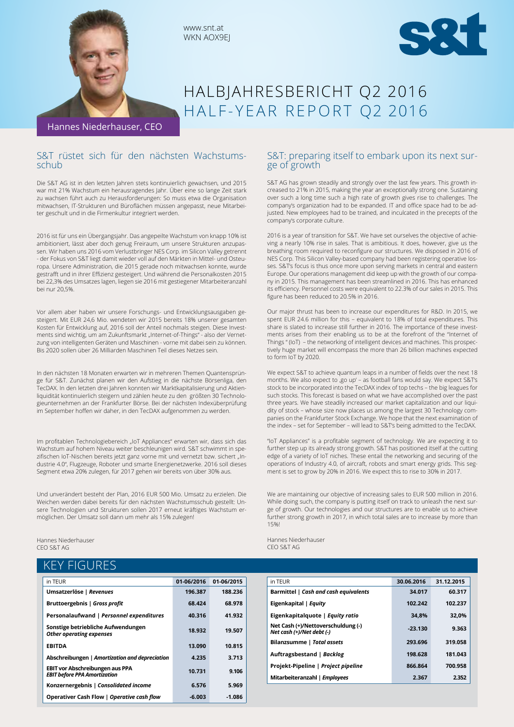

www.snt.at WKN AOX9EJ



# HALBJAHRESBERICHT Q2 2016 HALF-YEAR REPORT Q2 2016

Hannes Niederhauser, CEO

# S&T rüstet sich für den nächsten Wachstums-<br>schub

Die S&T AG ist in den letzten Jahren stets kontinuierlich gewachsen, und 2015 war mit 21% Wachstum ein herausragendes Jahr. Über eine so lange Zeit stark zu wachsen führt auch zu Herausforderungen: So muss etwa die Organisation mitwachsen, IT-Strukturen und Büroflächen müssen angepasst, neue Mitarbeiter geschult und in die Firmenkultur integriert werden.

2016 ist für uns ein Übergangsjahr. Das angepeilte Wachstum von knapp 10% ist ambitioniert, lässt aber doch genug Freiraum, um unsere Strukturen anzupassen. Wir haben uns 2016 vom Verlustbringer NES Corp. im Silicon Valley getrennt - der Fokus von S&T liegt damit wieder voll auf den Märkten in Mittel- und Osteuropa. Unsere Administration, die 2015 gerade noch mitwachsen konnte, wurde gestrafft und in ihrer Effizienz gesteigert. Und während die Personalkosten 2015 bei 22,3% des Umsatzes lagen, liegen sie 2016 mit gestiegener Mitarbeiteranzahl bei nur 20,5%.

Vor allem aber haben wir unsere Forschungs- und Entwicklungsausgaben gesteigert. Mit EUR 24,6 Mio. wendeten wir 2015 bereits 18% unserer gesamten Kosten für Entwicklung auf, 2016 soll der Anteil nochmals steigen. Diese Investments sind wichtig, um am Zukunftsmarkt "Internet-of-Things" - also der Vernetzung von intelligenten Geräten und Maschinen - vorne mit dabei sein zu können. Bis 2020 sollen über 26 Milliarden Maschinen Teil dieses Netzes sein.

In den nächsten 18 Monaten erwarten wir in mehreren Themen Quantensprünge für S&T. Zunächst planen wir den Aufstieg in die nächste Börsenliga, den TecDAX. In den letzten drei Jahren konnten wir Marktkapitalisierung und Aktienliquidität kontinuierlich steigern und zählen heute zu den größten 30 Technologieunternehmen an der Frankfurter Börse. Bei der nächsten Indexüberprüfung im September hoffen wir daher, in den TecDAX aufgenommen zu werden.

Im profitablen Technologiebereich "IoT Appliances" erwarten wir, dass sich das Wachstum auf hohem Niveau weiter beschleunigen wird. S&T schwimmt in spezifischen IoT-Nischen bereits jetzt ganz vorne mit und vernetzt bzw. sichert "Industrie 4.0", Flugzeuge, Roboter und smarte Energienetzwerke. 2016 soll dieses Segment etwa 20% zulegen, für 2017 gehen wir bereits von über 30% aus.

Und unverändert besteht der Plan, 2016 EUR 500 Mio. Umsatz zu erzielen. Die Weichen werden dabei bereits für den nächsten Wachstumsschub gestellt: Unsere Technologien und Strukturen sollen 2017 erneut kräftiges Wachstum ermöglichen. Der Umsatz soll dann um mehr als 15% zulegen!

Hannes Niederhauser CEO S&T AG

# KEY FIGURES

| in TEUR                                                                       | 01-06/2016 | 01-06/2015 |
|-------------------------------------------------------------------------------|------------|------------|
| Umsatzerlöse   Revenues                                                       | 196.387    | 188.236    |
| Bruttoergebnis   Gross profit                                                 | 68.424     | 68.978     |
| Personalaufwand   Personnel expenditures                                      | 40.316     | 41.932     |
| Sonstige betriebliche Aufwendungen<br><b>Other operating expenses</b>         | 18.932     | 19.507     |
| <b>EBITDA</b>                                                                 | 13.090     | 10.815     |
| Abschreibungen   Amortization and depreciation                                | 4.235      | 3.713      |
| <b>EBIT vor Abschreibungen aus PPA</b><br><b>EBIT before PPA Amortization</b> | 10.731     | 9.106      |
| Konzernergebnis   Consolidated income                                         | 6.576      | 5.969      |
| Operativer Cash Flow   Operative cash flow                                    | $-6.003$   | $-1.086$   |

# S&T: preparing itself to embark upon its next surge of growth

S&T AG has grown steadily and strongly over the last few years. This growth increased to 21% in 2015, making the year an exceptionally strong one. Sustaining over such a long time such a high rate of growth gives rise to challenges. The company's organization had to be expanded. IT and office space had to be adjusted. New employees had to be trained, and inculcated in the precepts of the company's corporate culture.

2016 is a year of transition for S&T. We have set ourselves the objective of achieving a nearly 10% rise in sales. That is ambitious. It does, however, give us the breathing room required to reconfigure our structures. We disposed in 2016 of NES Corp. This Silicon Valley-based company had been registering operative losses. S&T's focus is thus once more upon serving markets in central and eastern Europe. Our operations management did keep up with the growth of our company in 2015. This management has been streamlined in 2016. This has enhanced its efficiency. Personnel costs were equivalent to 22.3% of our sales in 2015. This figure has been reduced to 20.5% in 2016.

Our major thrust has been to increase our expenditures for R&D. In 2015, we spent EUR 24.6 million for this – equivalent to 18% of total expenditures. This share is slated to increase still further in 2016. The importance of these investments arises from their enabling us to be at the forefront of the "Internet of Things " (IoT) – the networking of intelligent devices and machines. This prospectively huge market will encompass the more than 26 billion machines expected to form IoT by 2020.

We expect S&T to achieve quantum leaps in a number of fields over the next 18 months. We also expect to ,go up' - as football fans would say. We expect S&T's stock to be incorporated into the TecDAX index of top techs – the big leagues for such stocks. This forecast is based on what we have accomplished over the past three years. We have steadily increased our market capitalization and our liquidity of stock – whose size now places us among the largest 30 Technology companies on the Frankfurter Stock Exchange. We hope that the next examination of the index – set for September – will lead to S&T's being admitted to the TecDAX.

"IoT Appliances" is a profitable segment of technology. We are expecting it to further step up its already strong growth. S&T has positioned itself at the cutting edge of a variety of IoT niches. These entail the networking and securing of the operations of Industry 4.0, of aircraft, robots and smart energy grids. This segment is set to grow by 20% in 2016. We expect this to rise to 30% in 2017.

We are maintaining our objective of increasing sales to EUR 500 million in 2016. While doing such, the company is putting itself on track to unleash the next surge of growth. Our technologies and our structures are to enable us to achieve further strong growth in 2017, in which total sales are to increase by more than 15%!

Hannes Niederhauser CEO S&T AG

| in TEUR                                                         | 30.06.2016 | 31.12.2015 |
|-----------------------------------------------------------------|------------|------------|
| Barmittel   Cash and cash equivalents                           | 34.017     | 60.317     |
| Eigenkapital   Equity                                           | 102.242    | 102.237    |
| Eigenkapitalquote   Equity ratio                                | 34.8%      | 32.0%      |
| Net Cash (+)/Nettoverschuldung (-)<br>Net cash (+)/Net debt (-) | $-23.130$  | 9.363      |
| Bilanzsumme   Total assets                                      | 293.696    | 319.058    |
| Auftragsbestand   Backlog                                       | 198.628    | 181.043    |
| Projekt-Pipeline   Project pipeline                             | 866.864    | 700.958    |
| Mitarbeiteranzahl   Employees                                   | 2.367      | 2.352      |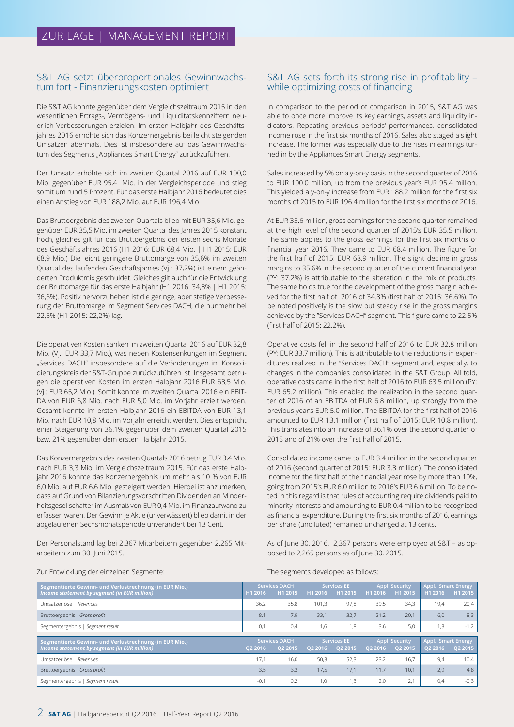#### S&T AG setzt überproportionales Gewinnwachstum fort - Finanzierungskosten optimiert

Die S&T AG konnte gegenüber dem Vergleichszeitraum 2015 in den wesentlichen Ertrags-, Vermögens- und Liquiditätskennziffern neuerlich Verbesserungen erzielen: Im ersten Halbjahr des Geschäftsjahres 2016 erhöhte sich das Konzernergebnis bei leicht steigenden Umsätzen abermals. Dies ist insbesondere auf das Gewinnwachstum des Segments "Appliances Smart Energy" zurückzuführen.

Der Umsatz erhöhte sich im zweiten Quartal 2016 auf EUR 100,0 Mio. gegenüber EUR 95,4 Mio. in der Vergleichsperiode und stieg somit um rund 5 Prozent. Für das erste Halbjahr 2016 bedeutet dies einen Anstieg von EUR 188,2 Mio. auf EUR 196,4 Mio.

Das Bruttoergebnis des zweiten Quartals blieb mit EUR 35,6 Mio. gegenüber EUR 35,5 Mio. im zweiten Quartal des Jahres 2015 konstant hoch, gleiches gilt für das Bruttoergebnis der ersten sechs Monate des Geschäftsjahres 2016 (H1 2016: EUR 68,4 Mio. | H1 2015: EUR 68,9 Mio.) Die leicht geringere Bruttomarge von 35,6% im zweiten Quartal des laufenden Geschäftsjahres (Vj.: 37,2%) ist einem geänderten Produktmix geschuldet. Gleiches gilt auch für die Entwicklung der Bruttomarge für das erste Halbjahr (H1 2016: 34,8% | H1 2015: 36,6%). Positiv hervorzuheben ist die geringe, aber stetige Verbesserung der Bruttomarge im Segment Services DACH, die nunmehr bei 22,5% (H1 2015: 22,2%) lag.

Die operativen Kosten sanken im zweiten Quartal 2016 auf EUR 32,8 Mio. (Vj.: EUR 33,7 Mio.), was neben Kostensenkungen im Segment "Services DACH" insbesondere auf die Veränderungen im Konsolidierungskreis der S&T-Gruppe zurückzuführen ist. Insgesamt betrugen die operativen Kosten im ersten Halbjahr 2016 EUR 63,5 Mio. (Vj.: EUR 65,2 Mio.). Somit konnte im zweiten Quartal 2016 ein EBIT-DA von EUR 6,8 Mio. nach EUR 5,0 Mio. im Vorjahr erzielt werden. Gesamt konnte im ersten Halbjahr 2016 ein EBITDA von EUR 13,1 Mio. nach EUR 10,8 Mio. im Vorjahr erreicht werden. Dies entspricht einer Steigerung von 36,1% gegenüber dem zweiten Quartal 2015 bzw. 21% gegenüber dem ersten Halbjahr 2015.

Das Konzernergebnis des zweiten Quartals 2016 betrug EUR 3,4 Mio. nach EUR 3,3 Mio. im Vergleichszeitraum 2015. Für das erste Halbjahr 2016 konnte das Konzernergebnis um mehr als 10 % von EUR 6,0 Mio. auf EUR 6,6 Mio. gesteigert werden. Hierbei ist anzumerken, dass auf Grund von Bilanzierungsvorschriften Dividenden an Minderheitsgesellschafter im Ausmaß von EUR 0,4 Mio. im Finanzaufwand zu erfassen waren. Der Gewinn je Aktie (unverwässert) blieb damit in der abgelaufenen Sechsmonatsperiode unverändert bei 13 Cent.

Der Personalstand lag bei 2.367 Mitarbeitern gegenüber 2.265 Mitarbeitern zum 30. Juni 2015.

### S&T AG sets forth its strong rise in profitability – while optimizing costs of financing

In comparison to the period of comparison in 2015, S&T AG was able to once more improve its key earnings, assets and liquidity indicators. Repeating previous periods' performances, consolidated income rose in the first six months of 2016. Sales also staged a slight increase. The former was especially due to the rises in earnings turned in by the Appliances Smart Energy segments.

Sales increased by 5% on a y-on-y basis in the second quarter of 2016 to EUR 100.0 million, up from the previous year's EUR 95.4 million. This yielded a y-on-y increase from EUR 188.2 million for the first six months of 2015 to EUR 196.4 million for the first six months of 2016.

At EUR 35.6 million, gross earnings for the second quarter remained at the high level of the second quarter of 2015's EUR 35.5 million. The same applies to the gross earnings for the first six months of financial year 2016. They came to EUR 68.4 million. The figure for the first half of 2015: EUR 68.9 million. The slight decline in gross margins to 35.6% in the second quarter of the current financial year (PY: 37.2%) is attributable to the alteration in the mix of products. The same holds true for the development of the gross margin achieved for the first half of 2016 of 34.8% (first half of 2015: 36.6%). To be noted positively is the slow but steady rise in the gross margins achieved by the "Services DACH" segment. This figure came to 22.5% (first half of 2015: 22.2%).

Operative costs fell in the second half of 2016 to EUR 32.8 million (PY: EUR 33.7 million). This is attributable to the reductions in expenditures realized in the "Services DACH" segment and, especially, to changes in the companies consolidated in the S&T Group. All told, operative costs came in the first half of 2016 to EUR 63.5 million (PY: EUR 65.2 million). This enabled the realization in the second quarter of 2016 of an EBITDA of EUR 6.8 million, up strongly from the previous year's EUR 5.0 million. The EBITDA for the first half of 2016 amounted to EUR 13.1 million (first half of 2015: EUR 10.8 million). This translates into an increase of 36.1% over the second quarter of 2015 and of 21% over the first half of 2015.

Consolidated income came to EUR 3.4 million in the second quarter of 2016 (second quarter of 2015: EUR 3.3 million). The consolidated income for the first half of the financial year rose by more than 10%, going from 2015's EUR 6.0 million to 2016's EUR 6.6 million. To be noted in this regard is that rules of accounting require dividends paid to minority interests and amounting to EUR 0.4 million to be recognized as financial expenditure. During the first six months of 2016, earnings per share (undiluted) remained unchanged at 13 cents.

As of June 30, 2016, 2,367 persons were employed at S&T – as opposed to 2,265 persons as of June 30, 2015.

| Zur Entwicklung der einzelnen Segmente: |  |  |
|-----------------------------------------|--|--|
|                                         |  |  |

The segments developed as follows:

|         |         |                      |         |                    | Appl. Smart Energy |                                                |                                            |
|---------|---------|----------------------|---------|--------------------|--------------------|------------------------------------------------|--------------------------------------------|
| H1 2016 | H1 2015 | H1 2016              | H1 2015 | H1 2016            | H1 2015            | H1 2016                                        | H1 2015                                    |
| 36,2    | 35,8    | 101.3                | 97,8    | 39,5               | 34,3               | 19,4                                           | 20,4                                       |
| 8,1     | 7,9     | 33,1                 | 32,7    | 21,2               | 20,1               | 6,0                                            | 8,3                                        |
| 0,1     | 0,4     | 1,6                  | 1,8     | 3,6                | 5,0                | 1,3                                            | $-1,2$                                     |
|         |         |                      |         |                    |                    |                                                |                                            |
|         |         |                      |         |                    |                    | Appl. Smart Energy                             |                                            |
| 02 2016 | 02 2015 | 02 2016              | Q2 2015 | 02 2016            | Q2 2015            | 02 2016                                        | Q2 2015                                    |
| 17.1    | 16.0    | 50.3                 | 52.3    | 23.2               | 16.7               | 9,4                                            | 10,4                                       |
| 3.5     | 3,3     | 17.5                 | 17.1    | 11.7               | 10.1               | 2,9                                            | 4,8                                        |
|         |         |                      |         |                    |                    |                                                |                                            |
|         | 0,2     |                      |         |                    | 2,1                |                                                | $-0,3$                                     |
|         |         | <b>Services DACH</b> |         | <b>Services EE</b> |                    | <b>Appl. Security</b><br><b>Appl. Security</b> | <b>Services EE</b><br><b>Services DACH</b> |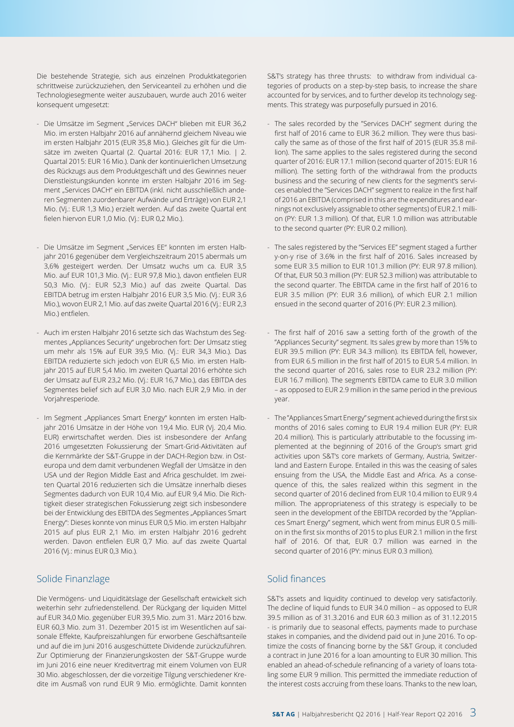Die bestehende Strategie, sich aus einzelnen Produktkategorien schrittweise zurückzuziehen, den Serviceanteil zu erhöhen und die Technologiesegmente weiter auszubauen, wurde auch 2016 weiter konsequent umgesetzt:

- Die Umsätze im Segment "Services DACH" blieben mit EUR 36,2 Mio. im ersten Halbjahr 2016 auf annähernd gleichem Niveau wie im ersten Halbjahr 2015 (EUR 35,8 Mio.). Gleiches gilt für die Umsätze im zweiten Quartal (2. Quartal 2016: EUR 17,1 Mio. | 2. Quartal 2015: EUR 16 Mio.). Dank der kontinuierlichen Umsetzung des Rückzugs aus dem Produktgeschäft und des Gewinnes neuer Dienstleistungskunden konnte im ersten Halbjahr 2016 im Segment "Services DACH" ein EBITDA (inkl. nicht ausschließlich anderen Segmenten zuordenbarer Aufwände und Erträge) von EUR 2,1 Mio. (Vj.: EUR 1,3 Mio.) erzielt werden. Auf das zweite Quartal ent fielen hiervon EUR 1,0 Mio. (Vj.: EUR 0,2 Mio.).
- Die Umsätze im Segment "Services EE" konnten im ersten Halbjahr 2016 gegenüber dem Vergleichszeitraum 2015 abermals um 3,6% gesteigert werden. Der Umsatz wuchs um ca. EUR 3,5 Mio. auf EUR 101,3 Mio. (Vj.: EUR 97,8 Mio.), davon entfielen EUR 50,3 Mio. (Vj.: EUR 52,3 Mio.) auf das zweite Quartal. Das EBITDA betrug im ersten Halbjahr 2016 EUR 3,5 Mio. (Vj.: EUR 3,6 Mio.), wovon EUR 2,1 Mio. auf das zweite Quartal 2016 (Vj.: EUR 2,3 Mio.) entfielen.
- Auch im ersten Halbjahr 2016 setzte sich das Wachstum des Segmentes "Appliances Security" ungebrochen fort: Der Umsatz stieg um mehr als 15% auf EUR 39,5 Mio. (Vj.: EUR 34,3 Mio.). Das EBITDA reduzierte sich jedoch von EUR 6,5 Mio. im ersten Halbjahr 2015 auf EUR 5,4 Mio. Im zweiten Quartal 2016 erhöhte sich der Umsatz auf EUR 23,2 Mio. (Vj.: EUR 16,7 Mio.), das EBITDA des Segmentes belief sich auf EUR 3,0 Mio. nach EUR 2,9 Mio. in der Vorjahresperiode.
- Im Segment "Appliances Smart Energy" konnten im ersten Halbjahr 2016 Umsätze in der Höhe von 19,4 Mio. EUR (Vj. 20,4 Mio. EUR) erwirtschaftet werden. Dies ist insbesondere der Anfang 2016 umgesetzten Fokussierung der Smart-Grid-Aktivitäten auf die Kernmärkte der S&T-Gruppe in der DACH-Region bzw. in Osteuropa und dem damit verbundenen Wegfall der Umsätze in den USA und der Region Middle East and Africa geschuldet. Im zweiten Quartal 2016 reduzierten sich die Umsätze innerhalb dieses Segmentes dadurch von EUR 10,4 Mio. auf EUR 9,4 Mio. Die Richtigkeit dieser strategischen Fokussierung zeigt sich insbesondere bei der Entwicklung des EBITDA des Segmentes "Appliances Smart Energy": Dieses konnte von minus EUR 0,5 Mio. im ersten Halbjahr 2015 auf plus EUR 2,1 Mio. im ersten Halbjahr 2016 gedreht werden. Davon entfielen EUR 0,7 Mio. auf das zweite Quartal 2016 (Vj.: minus EUR 0,3 Mio.).

### Solide Finanzlage

Die Vermögens- und Liquiditätslage der Gesellschaft entwickelt sich weiterhin sehr zufriedenstellend. Der Rückgang der liquiden Mittel auf EUR 34,0 Mio. gegenüber EUR 39,5 Mio. zum 31. März 2016 bzw. EUR 60,3 Mio. zum 31. Dezember 2015 ist im Wesentlichen auf saisonale Effekte, Kaufpreiszahlungen für erworbene Geschäftsanteile und auf die im Juni 2016 ausgeschüttete Dividende zurückzuführen. Zur Optimierung der Finanzierungskosten der S&T-Gruppe wurde im Juni 2016 eine neuer Kreditvertrag mit einem Volumen von EUR 30 Mio. abgeschlossen, der die vorzeitige Tilgung verschiedener Kredite im Ausmaß von rund EUR 9 Mio. ermöglichte. Damit konnten

S&T's strategy has three thrusts: to withdraw from individual categories of products on a step-by-step basis, to increase the share accounted for by services, and to further develop its technology segments. This strategy was purposefully pursued in 2016.

- The sales recorded by the "Services DACH" segment during the first half of 2016 came to EUR 36.2 million. They were thus basically the same as of those of the first half of 2015 (EUR 35.8 million). The same applies to the sales registered during the second quarter of 2016: EUR 17.1 million (second quarter of 2015: EUR 16 million). The setting forth of the withdrawal from the products business and the securing of new clients for the segment's services enabled the "Services DACH" segment to realize in the first half of 2016 an EBITDA (comprised in this are the expenditures and earnings not exclusively assignable to other segments) of EUR 2.1 million (PY: EUR 1.3 million). Of that, EUR 1.0 million was attributable to the second quarter (PY: EUR 0.2 million).
- The sales registered by the "Services EE" segment staged a further y-on-y rise of 3.6% in the first half of 2016. Sales increased by some EUR 3.5 million to EUR 101.3 million (PY: EUR 97.8 million). Of that, EUR 50.3 million (PY: EUR 52.3 million) was attributable to the second quarter. The EBITDA came in the first half of 2016 to EUR 3.5 million (PY: EUR 3.6 million), of which EUR 2.1 million ensued in the second quarter of 2016 (PY: EUR 2.3 million).
- The first half of 2016 saw a setting forth of the growth of the "Appliances Security" segment. Its sales grew by more than 15% to EUR 39.5 million (PY: EUR 34.3 million). Its EBITDA fell, however, from EUR 6.5 million in the first half of 2015 to EUR 5.4 million. In the second quarter of 2016, sales rose to EUR 23.2 million (PY: EUR 16.7 million). The segment's EBITDA came to EUR 3.0 million – as opposed to EUR 2.9 million in the same period in the previous year.
- The "Appliances Smart Energy" segment achieved during the first six months of 2016 sales coming to EUR 19.4 million EUR (PY: EUR 20.4 million). This is particularly attributable to the focussing implemented at the beginning of 2016 of the Group's smart grid activities upon S&T's core markets of Germany, Austria, Switzerland and Eastern Europe. Entailed in this was the ceasing of sales ensuing from the USA, the Middle East and Africa. As a consequence of this, the sales realized within this segment in the second quarter of 2016 declined from EUR 10.4 million to EUR 9.4 million. The appropriateness of this strategy is especially to be seen in the development of the EBITDA recorded by the "Appliances Smart Energy" segment, which went from minus EUR 0.5 million in the first six months of 2015 to plus EUR 2.1 million in the first half of 2016. Of that, EUR 0.7 million was earned in the second quarter of 2016 (PY: minus EUR 0.3 million).

## Solid finances

S&T's assets and liquidity continued to develop very satisfactorily. The decline of liquid funds to EUR 34.0 million – as opposed to EUR 39.5 million as of 31.3.2016 and EUR 60.3 million as of 31.12.2015 - is primarily due to seasonal effects, payments made to purchase stakes in companies, and the dividend paid out in June 2016. To optimize the costs of financing borne by the S&T Group, it concluded a contract in June 2016 for a loan amounting to EUR 30 million. This enabled an ahead-of-schedule refinancing of a variety of loans totaling some EUR 9 million. This permitted the immediate reduction of the interest costs accruing from these loans. Thanks to the new loan,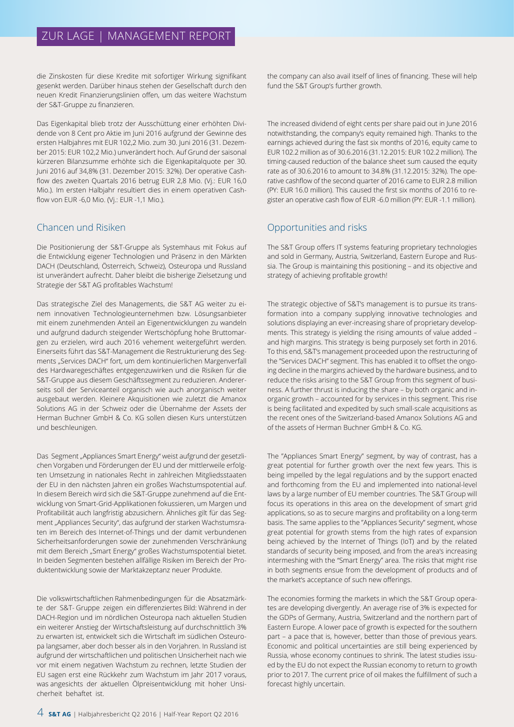die Zinskosten für diese Kredite mit sofortiger Wirkung signifikant gesenkt werden. Darüber hinaus stehen der Gesellschaft durch den neuen Kredit Finanzierungslinien offen, um das weitere Wachstum der S&T-Gruppe zu finanzieren.

Das Eigenkapital blieb trotz der Ausschüttung einer erhöhten Dividende von 8 Cent pro Aktie im Juni 2016 aufgrund der Gewinne des ersten Halbjahres mit EUR 102,2 Mio. zum 30. Juni 2016 (31. Dezember 2015: EUR 102,2 Mio.) unverändert hoch. Auf Grund der saisonal kürzeren Bilanzsumme erhöhte sich die Eigenkapitalquote per 30. Juni 2016 auf 34,8% (31. Dezember 2015: 32%). Der operative Cashflow des zweiten Quartals 2016 betrug EUR 2,8 Mio. (Vj.: EUR 16,0 Mio.). Im ersten Halbjahr resultiert dies in einem operativen Cashflow von EUR -6,0 Mio. (Vj.: EUR -1,1 Mio.).

### Chancen und Risiken

Die Positionierung der S&T-Gruppe als Systemhaus mit Fokus auf die Entwicklung eigener Technologien und Präsenz in den Märkten DACH (Deutschland, Österreich, Schweiz), Osteuropa und Russland ist unverändert aufrecht. Daher bleibt die bisherige Zielsetzung und Strategie der S&T AG profitables Wachstum!

Das strategische Ziel des Managements, die S&T AG weiter zu einem innovativen Technologieunternehmen bzw. Lösungsanbieter mit einem zunehmenden Anteil an Eigenentwicklungen zu wandeln und aufgrund dadurch steigender Wertschöpfung hohe Bruttomargen zu erzielen, wird auch 2016 vehement weitergeführt werden. Einerseits führt das S&T-Management die Restrukturierung des Segments "Services DACH" fort, um dem kontinuierlichen Margenverfall des Hardwaregeschäftes entgegenzuwirken und die Risiken für die S&T-Gruppe aus diesem Geschäftssegment zu reduzieren. Andererseits soll der Serviceanteil organisch wie auch anorganisch weiter ausgebaut werden. Kleinere Akquisitionen wie zuletzt die Amanox Solutions AG in der Schweiz oder die Übernahme der Assets der Herman Buchner GmbH & Co. KG sollen diesen Kurs unterstützen und beschleunigen.

Das Segment "Appliances Smart Energy" weist aufgrund der gesetzlichen Vorgaben und Förderungen der EU und der mittlerweile erfolgten Umsetzung in nationales Recht in zahlreichen Mitgliedsstaaten der EU in den nächsten Jahren ein großes Wachstumspotential auf. In diesem Bereich wird sich die S&T-Gruppe zunehmend auf die Entwicklung von Smart-Grid-Applikationen fokussieren, um Margen und Profitabilität auch langfristig abzusichern. Ähnliches gilt für das Segment "Appliances Security", das aufgrund der starken Wachstumsraten im Bereich des Internet-of-Things und der damit verbundenen Sicherheitsanforderungen sowie der zunehmenden Verschränkung mit dem Bereich "Smart Energy" großes Wachstumspotential bietet. In beiden Segmenten bestehen allfällige Risiken im Bereich der Produktentwicklung sowie der Marktakzeptanz neuer Produkte.

Die volkswirtschaftlichen Rahmenbedingungen für die Absatzmärkte der S&T- Gruppe zeigen ein differenziertes Bild: Während in der DACH-Region und im nördlichen Osteuropa nach aktuellen Studien ein weiterer Anstieg der Wirtschaftsleistung auf durchschnittlich 3% zu erwarten ist, entwickelt sich die Wirtschaft im südlichen Osteuropa langsamer, aber doch besser als in den Vorjahren. In Russland ist aufgrund der wirtschaftlichen und politischen Unsicherheit nach wie vor mit einem negativen Wachstum zu rechnen, letzte Studien der EU sagen erst eine Rückkehr zum Wachstum im Jahr 2017 voraus, was angesichts der aktuellen Ölpreisentwicklung mit hoher Unsicherheit behaftet ist.

the company can also avail itself of lines of financing. These will help fund the S&T Group's further growth.

The increased dividend of eight cents per share paid out in June 2016 notwithstanding, the company's equity remained high. Thanks to the earnings achieved during the fast six months of 2016, equity came to EUR 102.2 million as of 30.6.2016 (31.12.2015: EUR 102.2 million). The timing-caused reduction of the balance sheet sum caused the equity rate as of 30.6.2016 to amount to 34.8% (31.12.2015: 32%). The operative cashflow of the second quarter of 2016 came to EUR 2.8 million (PY: EUR 16.0 million). This caused the first six months of 2016 to register an operative cash flow of EUR -6.0 million (PY: EUR -1.1 million).

## Opportunities and risks

The S&T Group offers IT systems featuring proprietary technologies and sold in Germany, Austria, Switzerland, Eastern Europe and Russia. The Group is maintaining this positioning – and its objective and strategy of achieving profitable growth!

The strategic objective of S&T's management is to pursue its transformation into a company supplying innovative technologies and solutions displaying an ever-increasing share of proprietary developments. This strategy is yielding the rising amounts of value added – and high margins. This strategy is being purposely set forth in 2016. To this end, S&T's management proceeded upon the restructuring of the "Services DACH" segment. This has enabled it to offset the ongoing decline in the margins achieved by the hardware business, and to reduce the risks arising to the S&T Group from this segment of business. A further thrust is inducing the share – by both organic and inorganic growth – accounted for by services in this segment. This rise is being facilitated and expedited by such small-scale acquisitions as the recent ones of the Switzerland-based Amanox Solutions AG and of the assets of Herman Buchner GmbH & Co. KG.

The "Appliances Smart Energy" segment, by way of contrast, has a great potential for further growth over the next few years. This is being impelled by the legal regulations and by the support enacted and forthcoming from the EU and implemented into national-level laws by a large number of EU member countries. The S&T Group will focus its operations in this area on the development of smart grid applications, so as to secure margins and profitability on a long-term basis. The same applies to the "Appliances Security" segment, whose great potential for growth stems from the high rates of expansion being achieved by the Internet of Things (IoT) and by the related standards of security being imposed, and from the area's increasing intermeshing with the "Smart Energy" area. The risks that might rise in both segments ensue from the development of products and of the market's acceptance of such new offerings.

The economies forming the markets in which the S&T Group operates are developing divergently. An average rise of 3% is expected for the GDPs of Germany, Austria, Switzerland and the northern part of Eastern Europe. A lower pace of growth is expected for the southern part – a pace that is, however, better than those of previous years. Economic and political uncertainties are still being experienced by Russia, whose economy continues to shrink. The latest studies issued by the EU do not expect the Russian economy to return to growth prior to 2017. The current price of oil makes the fulfillment of such a forecast highly uncertain.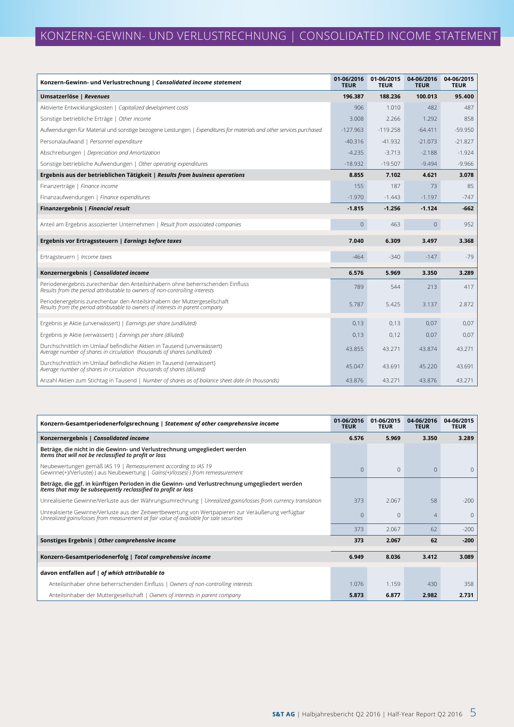| Konzern-Gewinn- und Verlustrechnung   Consolidated income statement                                                                                          | 01-06/2016<br><b>TEUR</b> | 01-06/2015<br><b>TEUR</b> | 04-06/2016<br><b>TEUR</b> | 04-06/2015<br><b>TEUR</b> |
|--------------------------------------------------------------------------------------------------------------------------------------------------------------|---------------------------|---------------------------|---------------------------|---------------------------|
| Umsatzerlöse   Revenues                                                                                                                                      | 196.387                   | 188.236                   | 100.013                   | 95.400                    |
| Aktivierte Entwicklungskosten   Capitalized development costs                                                                                                | 906                       | 1.010                     | 482                       | 487                       |
| Sonstige betriebliche Erträge   Other income                                                                                                                 | 3.008                     | 2.266                     | 1.292                     | 858                       |
| Aufwendungen für Material und sonstige bezogene Leistungen   Expenditures for materials and other services purchased                                         | $-127.963$                | $-119.258$                | $-64.411$                 | $-59.950$                 |
| Personalaufwand   Personnel expenditure                                                                                                                      | $-40.316$                 | $-41.932$                 | $-21.073$                 | $-21.827$                 |
| Abschreibungen   Depreciation and Amortization                                                                                                               | $-4.235$                  | $-3.713$                  | $-2.188$                  | $-1.924$                  |
| Sonstige betriebliche Aufwendungen   Other operating expenditures                                                                                            | $-18.932$                 | $-19.507$                 | $-9.494$                  | $-9.966$                  |
| Ergebnis aus der betrieblichen Tätigkeit   Results from business operations                                                                                  | 8.855                     | 7.102                     | 4.621                     | 3.078                     |
| Finanzerträge   Finance income                                                                                                                               | 155                       | 187                       | 73                        | 85                        |
| Finanzaufwendungen   Finance expenditures                                                                                                                    | $-1.970$                  | $-1.443$                  | $-1.197$                  | $-747$                    |
| Finanzergebnis   Financial result                                                                                                                            | $-1.815$                  | $-1.256$                  | $-1.124$                  | $-662$                    |
| Anteil am Ergebnis assoziierter Unternehmen   Result from associated companies                                                                               | $\overline{0}$            | 463                       | $\mathbf 0$               | 952                       |
| Ergebnis vor Ertragssteuern   Earnings before taxes                                                                                                          | 7.040                     | 6.309                     | 3.497                     | 3.368                     |
| Ertragsteuern   Income taxes                                                                                                                                 | $-464$                    | $-340$                    | $-147$                    | $-79$                     |
| Konzernergebnis   Consolidated income                                                                                                                        | 6.576                     | 5.969                     | 3.350                     | 3.289                     |
| Periodenergebnis zurechenbar den Anteilsinhabern ohne beherrschenden Einfluss<br>Results from the period attributable to owners of non-controlling interests | 789                       | 544                       | 213                       | 417                       |
| Periodenergebnis zurechenbar den Anteilsinhabern der Muttergesellschaft<br>Results from the period attributable to owners of interests in parent company     | 5.787                     | 5.425                     | 3.137                     | 2.872                     |
| Ergebnis je Aktie (unverwässert)   Earnings per share (undiluted)                                                                                            | 0,13                      | 0,13                      | 0,07                      | 0,07                      |
| Ergebnis je Aktie (verwässert)   Earnings per share (diluted)                                                                                                | 0,13                      | 0,12                      | 0,07                      | 0,07                      |
| Durchschnittlich im Umlauf befindliche Aktien in Tausend (unverwässert)<br>Average number of shares in circulation thousands of shares (undiluted)           | 43.855                    | 43.271                    | 43.874                    | 43.271                    |
| Durchschnittlich im Umlauf befindliche Aktien in Tausend (verwässert)<br>Average number of shares in circulation thousands of shares (diluted)               | 45.047                    | 43.691                    | 45.220                    | 43.691                    |
| Anzahl Aktien zum Stichtag in Tausend   Number of shares as of balance sheet date (in thousands)                                                             | 43.876                    | 43.271                    | 43.876                    | 43.271                    |

| Konzern-Gesamtperiodenerfolgsrechnung   Statement of other comprehensive income                                                                                                                | 01-06/2016<br><b>TEUR</b> | 01-06/2015<br><b>TEUR</b> | 04-06/2016<br><b>TEUR</b> | 04-06/2015<br><b>TEUR</b> |
|------------------------------------------------------------------------------------------------------------------------------------------------------------------------------------------------|---------------------------|---------------------------|---------------------------|---------------------------|
| Konzernergebnis   Consolidated income                                                                                                                                                          | 6.576                     | 5.969                     | 3.350                     | 3.289                     |
| Beträge, die nicht in die Gewinn- und Verlustrechnung umgegliedert werden<br>Items that will not be reclassified to profit or loss                                                             |                           |                           |                           |                           |
| Neubewertungen gemäß IAS 19   Remeasurement according to IAS 19<br>Gewinne(+)/Verluste(-) aus Neubewertung   Gains(+)/losses(-) from remeasurement                                             | $\Omega$                  | $\Omega$                  | $\Omega$                  | $\Omega$                  |
| Beträge, die ggf. in künftigen Perioden in die Gewinn- und Verlustrechnung umgegliedert werden<br>Items that may be subsequently reclassified to profit or loss                                |                           |                           |                           |                           |
| Unrealisierte Gewinne/Verluste aus der Währungsumrechnung   Unrealized gains/losses from currency translation                                                                                  | 373                       | 2.067                     | 58                        | $-200$                    |
| Unrealisierte Gewinne/Verluste aus der Zeitwertbewertung von Wertpapieren zur Veräußerung verfügbar<br>Unrealized gains/losses from measurement at fair value of available for sale securities | ∩                         | $\Omega$                  | 4                         | $\Omega$                  |
|                                                                                                                                                                                                | 373                       | 2.067                     | 62                        | $-200$                    |
| Sonstiges Ergebnis   Other comprehensive income                                                                                                                                                | 373                       | 2.067                     | 62                        | $-200$                    |
| Konzern-Gesamtperiodenerfolg   Total comprehensive income                                                                                                                                      | 6.949                     | 8.036                     | 3.412                     | 3.089                     |
| davon entfallen auf   of which attributable to                                                                                                                                                 |                           |                           |                           |                           |
| Anteilsinhaber ohne beherrschenden Einfluss   Owners of non-controlling interests                                                                                                              | 1.076                     | 1.159                     | 430                       | 358                       |
| Anteilsinhaber der Muttergesellschaft   Owners of interests in parent company                                                                                                                  | 5.873                     | 6.877                     | 2.982                     | 2.731                     |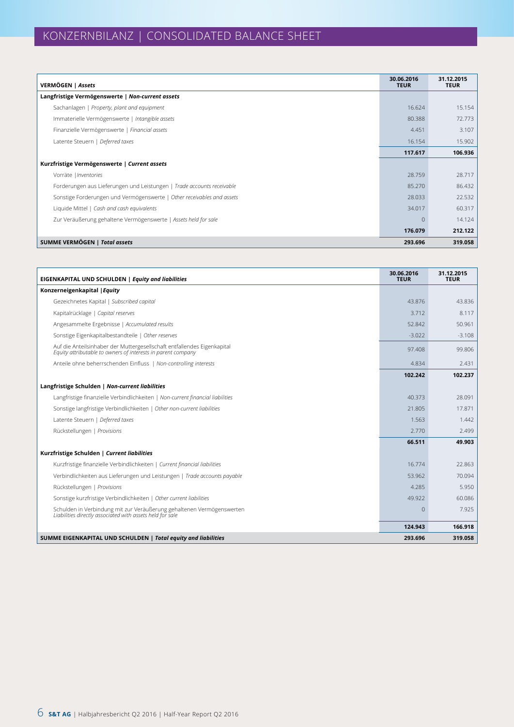| VERMÖGEN   Assets                                                      | 30.06.2016<br><b>TEUR</b> | 31.12.2015<br><b>TEUR</b> |
|------------------------------------------------------------------------|---------------------------|---------------------------|
| Langfristige Vermögenswerte   Non-current assets                       |                           |                           |
| Sachanlagen   Property, plant and equipment                            | 16.624                    | 15.154                    |
| Immaterielle Vermögenswerte   Intangible assets                        | 80.388                    | 72.773                    |
| Finanzielle Vermögenswerte   Financial assets                          | 4.451                     | 3.107                     |
| Latente Steuern   Deferred taxes                                       | 16.154                    | 15.902                    |
|                                                                        | 117.617                   | 106.936                   |
| Kurzfristige Vermögenswerte   Current assets                           |                           |                           |
| Vorräte   Inventories                                                  | 28.759                    | 28.717                    |
| Forderungen aus Lieferungen und Leistungen   Trade accounts receivable | 85,270                    | 86.432                    |
| Sonstige Forderungen und Vermögenswerte   Other receivables and assets | 28.033                    | 22.532                    |
| Liquide Mittel   Cash and cash equivalents                             | 34.017                    | 60.317                    |
| Zur Veräußerung gehaltene Vermögenswerte   Assets held for sale        | $\Omega$                  | 14.124                    |
|                                                                        | 176.079                   | 212.122                   |
| SUMME VERMÖGEN   Total assets                                          | 293.696                   | 319.058                   |

| EIGENKAPITAL UND SCHULDEN   Equity and liabilities                                                                                      | 30.06.2016<br><b>TEUR</b> | 31.12.2015<br><b>TEUR</b> |
|-----------------------------------------------------------------------------------------------------------------------------------------|---------------------------|---------------------------|
| Konzerneigenkapital   Equity                                                                                                            |                           |                           |
| Gezeichnetes Kapital   Subscribed capital                                                                                               | 43.876                    | 43.836                    |
| Kapitalrücklage   Capital reserves                                                                                                      | 3.712                     | 8.117                     |
| Angesammelte Ergebnisse   Accumulated results                                                                                           | 52.842                    | 50.961                    |
| Sonstige Eigenkapitalbestandteile   Other reserves                                                                                      | $-3.022$                  | $-3.108$                  |
| Auf die Anteilsinhaber der Muttergesellschaft entfallendes Eigenkapital<br>Equity attributable to owners of interests in parent company | 97.408                    | 99.806                    |
| Anteile ohne beherrschenden Einfluss   Non-controlling interests                                                                        | 4.834                     | 2.431                     |
|                                                                                                                                         | 102.242                   | 102.237                   |
| Langfristige Schulden   Non-current liabilities                                                                                         |                           |                           |
| Langfristige finanzielle Verbindlichkeiten   Non-current financial liabilities                                                          | 40.373                    | 28.091                    |
| Sonstige langfristige Verbindlichkeiten   Other non-current liabilities                                                                 | 21.805                    | 17.871                    |
| Latente Steuern   Deferred taxes                                                                                                        | 1.563                     | 1.442                     |
| Rückstellungen   Provisions                                                                                                             | 2.770                     | 2.499                     |
|                                                                                                                                         | 66.511                    | 49.903                    |
| Kurzfristige Schulden   Current liabilities                                                                                             |                           |                           |
| Kurzfristige finanzielle Verbindlichkeiten   Current financial liabilities                                                              | 16.774                    | 22.863                    |
| Verbindlichkeiten aus Lieferungen und Leistungen   Trade accounts payable                                                               | 53.962                    | 70.094                    |
| Rückstellungen   Provisions                                                                                                             | 4.285                     | 5.950                     |
| Sonstige kurzfristige Verbindlichkeiten   Other current liabilities                                                                     | 49.922                    | 60.086                    |
| Schulden in Verbindung mit zur Veräußerung gehaltenen Vermögenswerten<br>Liabilities directly associated with assets held for sale      | $\Omega$                  | 7.925                     |
|                                                                                                                                         | 124.943                   | 166.918                   |
| SUMME EIGENKAPITAL UND SCHULDEN   Total equity and liabilities                                                                          | 293.696                   | 319.058                   |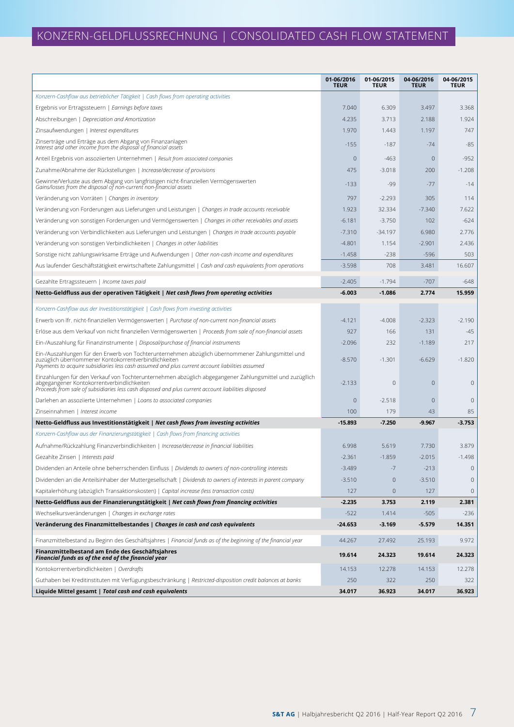# KONZERN-GELDFLUSSRECHNUNG | CONSOLIDATED CASH FLOW STATEMENT

|                                                                                                                                                                                                                                                               | 01-06/2016<br><b>TEUR</b> | 01-06/2015<br><b>TEUR</b> | 04-06/2016<br><b>TEUR</b> | 04-06/2015<br><b>TEUR</b> |
|---------------------------------------------------------------------------------------------------------------------------------------------------------------------------------------------------------------------------------------------------------------|---------------------------|---------------------------|---------------------------|---------------------------|
| Konzern-Cashflow aus betrieblicher Tätigkeit   Cash flows from operating activities                                                                                                                                                                           |                           |                           |                           |                           |
| Ergebnis vor Ertragssteuern   Earnings before taxes                                                                                                                                                                                                           | 7.040                     | 6.309                     | 3.497                     | 3.368                     |
| Abschreibungen   Depreciation and Amortization                                                                                                                                                                                                                | 4.235                     | 3.713                     | 2.188                     | 1.924                     |
| Zinsaufwendungen   Interest expenditures                                                                                                                                                                                                                      | 1.970                     | 1.443                     | 1.197                     | 747                       |
| Zinserträge und Erträge aus dem Abgang von Finanzanlagen<br>Interest and other income from the disposal of financial assets                                                                                                                                   | $-155$                    | $-187$                    | $-74$                     | $-85$                     |
| Anteil Ergebnis von assoziierten Unternehmen   Result from associated companies                                                                                                                                                                               | $\mathbf 0$               | $-463$                    | $\mathbf{0}$              | $-952$                    |
| Zunahme/Abnahme der Rückstellungen   Increase/decrease of provisions                                                                                                                                                                                          | 475                       | $-3.018$                  | 200                       | $-1.208$                  |
| Gewinne/Verluste aus dem Abgang von langfristigen nicht-finanziellen Vermögenswerten<br>Gains/losses from the disposal of non-current non-financial assets                                                                                                    | $-133$                    | $-99$                     | $-77$                     | $-14$                     |
| Veränderung von Vorräten   Changes in inventory                                                                                                                                                                                                               | 797                       | $-2.293$                  | 305                       | 114                       |
| Veränderung von Forderungen aus Lieferungen und Leistungen   Changes in trade accounts receivable                                                                                                                                                             | 1.923                     | 32.334                    | $-7.340$                  | 7.622                     |
| Veränderung von sonstigen Forderungen und Vermögenswerten   Changes in other receivables and assets                                                                                                                                                           | $-6.181$                  | $-3.750$                  | 102                       | $-624$                    |
| Veränderung von Verbindlichkeiten aus Lieferungen und Leistungen   Changes in trade accounts payable                                                                                                                                                          | $-7.310$                  | $-34.197$                 | 6.980                     | 2.776                     |
| Veränderung von sonstigen Verbindlichkeiten   Changes in other liabilities                                                                                                                                                                                    | $-4.801$                  | 1.154                     | $-2.901$                  | 2.436                     |
| Sonstige nicht zahlungswirksame Erträge und Aufwendungen   Other non-cash income and expenditures                                                                                                                                                             | $-1.458$                  | $-238$                    | $-596$                    | 503                       |
| Aus laufender Geschäftstätigkeit erwirtschaftete Zahlungsmittel   Cash and cash equivalents from operations                                                                                                                                                   | $-3.598$                  | 708                       | 3.481                     | 16.607                    |
| Gezahlte Ertragssteuern   Income taxes paid                                                                                                                                                                                                                   | $-2.405$                  | $-1.794$                  | $-707$                    | $-648$                    |
| Netto-Geldfluss aus der operativen Tätigkeit   Net cash flows from operating activities                                                                                                                                                                       | $-6.003$                  | $-1.086$                  | 2.774                     | 15.959                    |
| Konzern-Cashflow aus der Investitionstätigkeit   Cash flows from investing activities                                                                                                                                                                         |                           |                           |                           |                           |
| Erwerb von Ifr. nicht-finanziellen Vermögenswerten   Purchase of non-current non-financial assets                                                                                                                                                             | $-4.121$                  | $-4.008$                  | $-2.323$                  | $-2.190$                  |
| Erlöse aus dem Verkauf von nicht finanziellen Vermögenswerten   Proceeds from sale of non-financial assets                                                                                                                                                    | 927                       | 166                       | 131                       | $-45$                     |
| Ein-/Auszahlung für Finanzinstrumente   Disposal/purchase of financial instruments                                                                                                                                                                            | $-2.096$                  | 232                       | $-1.189$                  | 217                       |
| Ein-/Auszahlungen für den Erwerb von Tochterunternehmen abzüglich übernommener Zahlungsmittel und<br>zuzüglich übernommener Kontokorrentverbindlichkeiten<br>Payments to acquire subsidiaries less cash assumed and plus current account liabilities assumed  | $-8.570$                  | $-1.301$                  | $-6.629$                  | $-1.820$                  |
| Einzahlungen für den Verkauf von Tochterunternehmen abzüglich abgegangener Zahlungsmittel und zuzügllich<br>abgegangener Kontokorrentverbindlichkeiten<br>Proceeds from sale of subsidiaries less cash disposed and plus current account liabilities disposed | $-2.133$                  | 0                         | $\theta$                  | $\mathbf 0$               |
| Darlehen an assoziierte Unternehmen   Loans to associated companies                                                                                                                                                                                           | $\mathbf 0$               | $-2.518$                  | $\theta$                  | $\mathbf 0$               |
| Zinseinnahmen   Interest income                                                                                                                                                                                                                               | 100                       | 179                       | 43                        | 85                        |
| Netto-Geldfluss aus Investitionstätigkeit   Net cash flows from investing activities                                                                                                                                                                          | $-15.893$                 | $-7.250$                  | $-9.967$                  | $-3.753$                  |
| Konzern-Cashflow aus der Finanzierungstätigkeit   Cash flows from financing activities                                                                                                                                                                        |                           |                           |                           |                           |
| Aufnahme/Rückzahlung Finanzverbindlichkeiten   Increase/decrease in financial liabilities                                                                                                                                                                     | 6.998                     | 5.619                     | 7.730                     | 3.879                     |
| Gezahlte Zinsen   Interests paid                                                                                                                                                                                                                              | $-2.361$                  | $-1.859$                  | $-2.015$                  | $-1.498$                  |
| Dividenden an Anteile ohne beherrschenden Einfluss   Dividends to owners of non-controlling interests                                                                                                                                                         | $-3.489$                  | $-7$                      | $-213$                    | $\mathbf 0$               |
| Dividenden an die Anteilsinhaber der Muttergesellschaft   Dividends to owners of interests in parent company                                                                                                                                                  | $-3.510$                  | $\mathbf{0}$              | $-3.510$                  | $\mathbf 0$               |
| Kapitalerhöhung (abzüglich Transaktionskosten)   Capital increase (less transaction costs)                                                                                                                                                                    | 127                       | $\mathbf 0$               | 127                       | $\mathbf 0$               |
| Netto-Geldfluss aus der Finanzierungstätigkeit   Net cash flows from financing activities                                                                                                                                                                     | $-2.235$                  | 3.753                     | 2.119                     | 2.381                     |
| Wechselkursveränderungen   Changes in exchange rates                                                                                                                                                                                                          | $-522$                    | 1.414                     | $-505$                    | $-236$                    |
| Veränderung des Finanzmittelbestandes   Changes in cash and cash equivalents                                                                                                                                                                                  | $-24.653$                 | $-3.169$                  | $-5.579$                  | 14.351                    |
| Finanzmittelbestand zu Beginn des Geschäftsjahres   Financial funds as of the beginning of the financial year                                                                                                                                                 | 44.267                    | 27.492                    | 25.193                    | 9.972                     |
| Finanzmittelbestand am Ende des Geschäftsjahres<br>Financial funds as of the end of the financial year                                                                                                                                                        | 19.614                    | 24.323                    | 19.614                    | 24.323                    |
| Kontokorrentverbindlichkeiten   Overdrafts                                                                                                                                                                                                                    | 14.153                    | 12.278                    | 14.153                    | 12.278                    |
| Guthaben bei Kreditinstituten mit Verfügungsbeschränkung   Restricted-disposition credit balances at banks                                                                                                                                                    | 250                       | 322                       | 250                       | 322                       |
| Liquide Mittel gesamt   Total cash and cash equivalents                                                                                                                                                                                                       | 34.017                    | 36.923                    | 34.017                    | 36.923                    |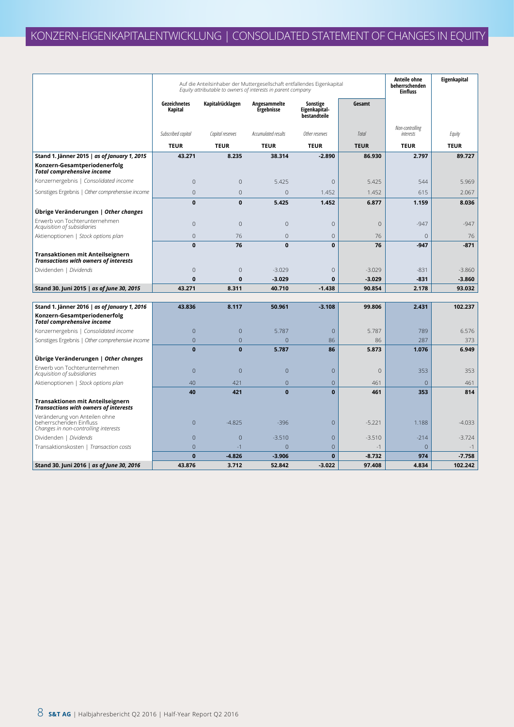|                                                                                                  |                         | Auf die Anteilsinhaber der Muttergesellschaft entfallendes Eigenkapital<br>Equity attributable to owners of interests in parent company | <b>Anteile ohne</b><br>beherrschenden<br><b>Einfluss</b> | Eigenkapital                              |                |                              |             |
|--------------------------------------------------------------------------------------------------|-------------------------|-----------------------------------------------------------------------------------------------------------------------------------------|----------------------------------------------------------|-------------------------------------------|----------------|------------------------------|-------------|
|                                                                                                  | Gezeichnetes<br>Kapital | Kapitalrücklagen                                                                                                                        | Angesammelte<br>Ergebnisse                               | Sonstige<br>Eigenkapital-<br>bestandteile | Gesamt         |                              |             |
|                                                                                                  | Subscribed capital      | Capital reserves                                                                                                                        | Accumulated results                                      | Other reserves                            | Total          | Non-controlling<br>interests | Equity      |
|                                                                                                  | <b>TEUR</b>             | <b>TEUR</b>                                                                                                                             | <b>TEUR</b>                                              | <b>TEUR</b>                               | <b>TEUR</b>    | <b>TEUR</b>                  | <b>TEUR</b> |
| Stand 1. Jänner 2015   as of January 1, 2015                                                     | 43.271                  | 8.235                                                                                                                                   | 38.314                                                   | $-2.890$                                  | 86.930         | 2.797                        | 89.727      |
| Konzern-Gesamtperiodenerfolg<br><b>Total comprehensive income</b>                                |                         |                                                                                                                                         |                                                          |                                           |                |                              |             |
| Konzernergebnis   Consolidated income                                                            | $\mathbf 0$             | $\overline{0}$                                                                                                                          | 5.425                                                    | $\mathbf 0$                               | 5.425          | 544                          | 5.969       |
| Sonstiges Ergebnis   Other comprehensive income                                                  | $\overline{0}$          | $\overline{0}$                                                                                                                          | $\overline{0}$                                           | 1.452                                     | 1.452          | 615                          | 2.067       |
|                                                                                                  | 0                       | $\mathbf{0}$                                                                                                                            | 5.425                                                    | 1.452                                     | 6.877          | 1.159                        | 8.036       |
| Ubrige Veränderungen   Other changes                                                             |                         |                                                                                                                                         |                                                          |                                           |                |                              |             |
| Erwerb von Tochterunternehmen<br>Acquisition of subsidiaries                                     | 0                       | $\Omega$                                                                                                                                | $\mathbf{0}$                                             | $\overline{0}$                            | $\overline{0}$ | $-947$                       | $-947$      |
| Aktienoptionen   Stock options plan                                                              | $\overline{0}$          | 76                                                                                                                                      | $\overline{0}$                                           | $\mathbf{0}$                              | 76             | $\overline{0}$               | 76          |
|                                                                                                  | $\mathbf{0}$            | 76                                                                                                                                      | $\mathbf{0}$                                             | $\mathbf{0}$                              | 76             | $-947$                       | $-871$      |
| Transaktionen mit Anteilseignern<br><b>Transactions with owners of interests</b>                 |                         |                                                                                                                                         |                                                          |                                           |                |                              |             |
| Dividenden   Dividends                                                                           | $\mathbf 0$             | $\mathbf{0}$                                                                                                                            | $-3.029$                                                 | $\mathbf 0$                               | $-3.029$       | $-831$                       | $-3.860$    |
|                                                                                                  | $\mathbf{0}$            | $\mathbf 0$                                                                                                                             | $-3.029$                                                 | $\mathbf{0}$                              | $-3.029$       | $-831$                       | $-3.860$    |
| Stand 30. Juni 2015   as of June 30, 2015                                                        | 43.271                  | 8.311                                                                                                                                   | 40.710                                                   | $-1.438$                                  | 90.854         | 2.178                        | 93.032      |
| Stand 1. Jänner 2016   as of January 1, 2016                                                     | 43.836                  | 8.117                                                                                                                                   | 50.961                                                   | $-3.108$                                  | 99.806         | 2.431                        | 102.237     |
| Konzern-Gesamtperiodenerfolg<br><b>Total comprehensive income</b>                                |                         |                                                                                                                                         |                                                          |                                           |                |                              |             |
| Konzernergebnis   Consolidated income                                                            | $\overline{0}$          | $\overline{0}$                                                                                                                          | 5.787                                                    | $\theta$                                  | 5.787          | 789                          | 6.576       |
| Sonstiges Ergebnis   Other comprehensive income                                                  | $\overline{0}$          | $\overline{0}$                                                                                                                          | $\Omega$                                                 | 86                                        | 86             | 287                          | 373         |
|                                                                                                  | $\mathbf{0}$            | $\mathbf{0}$                                                                                                                            | 5.787                                                    | 86                                        | 5.873          | 1.076                        | 6.949       |
| Übrige Veränderungen   Other changes                                                             |                         |                                                                                                                                         |                                                          |                                           |                |                              |             |
| Erwerb von Tochterunternehmen<br>Acquisition of subsidiaries                                     | $\overline{0}$          | $\overline{0}$                                                                                                                          | $\overline{0}$                                           | $\overline{0}$                            | $\overline{0}$ | 353                          | 353         |
| Aktienoptionen   Stock options plan                                                              | 40                      | 421                                                                                                                                     | $\overline{0}$                                           | $\overline{0}$                            | 461            | $\Omega$                     | 461         |
|                                                                                                  | 40                      | 421                                                                                                                                     | $\mathbf{0}$                                             | $\mathbf{0}$                              | 461            | 353                          | 814         |
| Transaktionen mit Anteilseignern<br><b>Transactions with owners of interests</b>                 |                         |                                                                                                                                         |                                                          |                                           |                |                              |             |
| Veränderung von Anteilen ohne<br>beherrschenden Einfluss<br>Changes in non-controlling interests | $\mathbf 0$             | $-4.825$                                                                                                                                | $-396$                                                   | $\theta$                                  | $-5.221$       | 1.188                        | $-4.033$    |
| Dividenden   Dividends                                                                           | $\overline{0}$          | $\overline{0}$                                                                                                                          | $-3.510$                                                 | $\overline{0}$                            | $-3.510$       | $-214$                       | $-3.724$    |
| Transaktionskosten   Transaction costs                                                           | $\overline{0}$          | $-1$                                                                                                                                    | $\overline{0}$                                           | $\overline{0}$                            | $-1$           | $\overline{0}$               | $-1$        |
|                                                                                                  | $\mathbf{0}$            | $-4.826$                                                                                                                                | $-3.906$                                                 | $\mathbf{0}$                              | $-8.732$       | 974                          | $-7.758$    |
| Stand 30. Juni 2016   as of June 30, 2016                                                        | 43.876                  | 3.712                                                                                                                                   | 52.842                                                   | $-3.022$                                  | 97.408         | 4.834                        | 102.242     |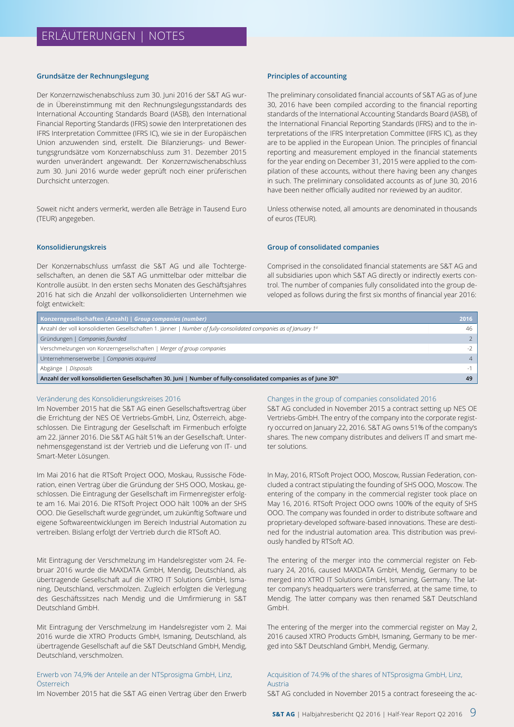#### **Grundsätze der Rechnungslegung**

Der Konzernzwischenabschluss zum 30. Juni 2016 der S&T AG wurde in Übereinstimmung mit den Rechnungslegungsstandards des International Accounting Standards Board (IASB), den International Financial Reporting Standards (IFRS) sowie den Interpretationen des IFRS Interpretation Committee (IFRS IC), wie sie in der Europäischen Union anzuwenden sind, erstellt. Die Bilanzierungs- und Bewertungsgrundsätze vom Konzernabschluss zum 31. Dezember 2015 wurden unverändert angewandt. Der Konzernzwischenabschluss zum 30. Juni 2016 wurde weder geprüft noch einer prüferischen Durchsicht unterzogen.

Soweit nicht anders vermerkt, werden alle Beträge in Tausend Euro (TEUR) angegeben.

#### **Konsolidierungskreis**

Der Konzernabschluss umfasst die S&T AG und alle Tochtergesellschaften, an denen die S&T AG unmittelbar oder mittelbar die Kontrolle ausübt. In den ersten sechs Monaten des Geschäftsjahres 2016 hat sich die Anzahl der vollkonsolidierten Unternehmen wie folgt entwickelt:

#### **Principles of accounting**

The preliminary consolidated financial accounts of S&T AG as of June 30, 2016 have been compiled according to the financial reporting standards of the International Accounting Standards Board (IASB), of the International Financial Reporting Standards (IFRS) and to the interpretations of the IFRS Interpretation Committee (IFRS IC), as they are to be applied in the European Union. The principles of financial reporting and measurement employed in the financial statements for the year ending on December 31, 2015 were applied to the compilation of these accounts, without there having been any changes in such. The preliminary consolidated accounts as of June 30, 2016 have been neither officially audited nor reviewed by an auditor.

Unless otherwise noted, all amounts are denominated in thousands of euros (TEUR).

#### **Group of consolidated companies**

Comprised in the consolidated financial statements are S&T AG and all subsidiaries upon which S&T AG directly or indirectly exerts control. The number of companies fully consolidated into the group developed as follows during the first six months of financial year 2016:

| Konzerngesellschaften (Anzahl)   Group companies (number)                                                          | 2016           |
|--------------------------------------------------------------------------------------------------------------------|----------------|
| Anzahl der voll konsolidierten Gesellschaften 1. Jänner   Number of fully-consolidated companies as of January 1st | 46             |
| Gründungen   Companies founded                                                                                     |                |
| Verschmelzungen von Konzerngesellschaften   Merger of group companies                                              | $-2$           |
| Unternehmenserwerbe   Companies acquired                                                                           | $\overline{4}$ |
| Disposals<br>Abgänge                                                                                               |                |
| Anzahl der voll konsolidierten Gesellschaften 30. Juni   Number of fully-consolidated companies as of June 30th    | 49             |

#### Veränderung des Konsolidierungskreises 2016

Im November 2015 hat die S&T AG einen Gesellschaftsvertrag über die Errichtung der NES OE Vertriebs-GmbH, Linz, Österreich, abgeschlossen. Die Eintragung der Gesellschaft im Firmenbuch erfolgte am 22. Jänner 2016. Die S&T AG hält 51% an der Gesellschaft. Unternehmensgegenstand ist der Vertrieb und die Lieferung von IT- und Smart-Meter Lösungen.

Im Mai 2016 hat die RTSoft Project OOO, Moskau, Russische Föderation, einen Vertrag über die Gründung der SHS OOO, Moskau, geschlossen. Die Eintragung der Gesellschaft im Firmenregister erfolgte am 16. Mai 2016. Die RTSoft Project OOO hält 100% an der SHS OOO. Die Gesellschaft wurde gegründet, um zukünftig Software und eigene Softwareentwicklungen im Bereich Industrial Automation zu vertreiben. Bislang erfolgt der Vertrieb durch die RTSoft AO.

Mit Eintragung der Verschmelzung im Handelsregister vom 24. Februar 2016 wurde die MAXDATA GmbH, Mendig, Deutschland, als übertragende Gesellschaft auf die XTRO IT Solutions GmbH, Ismaning, Deutschland, verschmolzen. Zugleich erfolgten die Verlegung des Geschäftssitzes nach Mendig und die Umfirmierung in S&T Deutschland GmbH.

Mit Eintragung der Verschmelzung im Handelsregister vom 2. Mai 2016 wurde die XTRO Products GmbH, Ismaning, Deutschland, als übertragende Gesellschaft auf die S&T Deutschland GmbH, Mendig, Deutschland, verschmolzen.

#### Erwerb von 74,9% der Anteile an der NTSprosigma GmbH, Linz, Österreich

Im November 2015 hat die S&T AG einen Vertrag über den Erwerb

#### Changes in the group of companies consolidated 2016

S&T AG concluded in November 2015 a contract setting up NES OE Vertriebs-GmbH. The entry of the company into the corporate registry occurred on January 22, 2016. S&T AG owns 51% of the company's shares. The new company distributes and delivers IT and smart meter solutions.

In May, 2016, RTSoft Project OOO, Moscow, Russian Federation, concluded a contract stipulating the founding of SHS OOO, Moscow. The entering of the company in the commercial register took place on May 16, 2016. RTSoft Project OOO owns 100% of the equity of SHS OOO. The company was founded in order to distribute software and proprietary-developed software-based innovations. These are destined for the industrial automation area. This distribution was previously handled by RTSoft AO.

The entering of the merger into the commercial register on February 24, 2016, caused MAXDATA GmbH, Mendig, Germany to be merged into XTRO IT Solutions GmbH, Ismaning, Germany. The latter company's headquarters were transferred, at the same time, to Mendig. The latter company was then renamed S&T Deutschland GmbH.

The entering of the merger into the commercial register on May 2, 2016 caused XTRO Products GmbH, Ismaning, Germany to be merged into S&T Deutschland GmbH, Mendig, Germany.

#### Acquisition of 74.9% of the shares of NTSprosigma GmbH, Linz, Austria

S&T AG concluded in November 2015 a contract foreseeing the ac-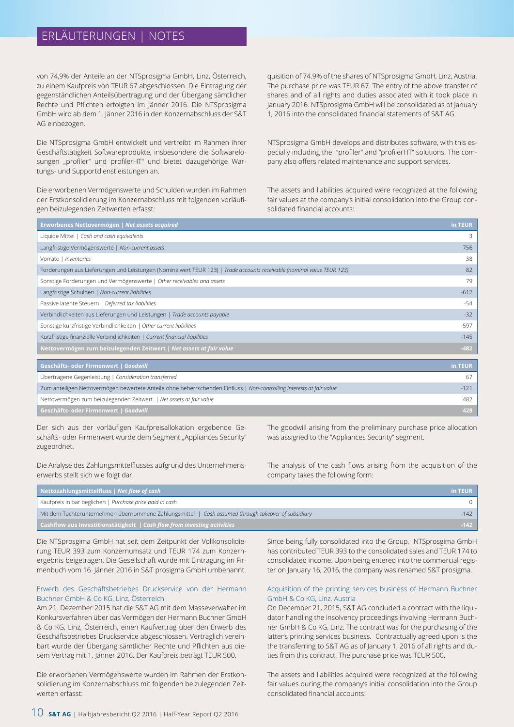## ERLÄUTERUNGEN | NOTES

von 74,9% der Anteile an der NTSprosigma GmbH, Linz, Österreich, zu einem Kaufpreis von TEUR 67 abgeschlossen. Die Eintragung der gegenständlichen Anteilsübertragung und der Übergang sämtlicher Rechte und Pflichten erfolgten im Jänner 2016. Die NTSprosigma GmbH wird ab dem 1. Jänner 2016 in den Konzernabschluss der S&T AG einbezogen.

Die NTSprosigma GmbH entwickelt und vertreibt im Rahmen ihrer Geschäftstätigkeit Softwareprodukte, insbesondere die Softwarelösungen "profiler" und profilerHT" und bietet dazugehörige Wartungs- und Supportdienstleistungen an.

Die erworbenen Vermögenswerte und Schulden wurden im Rahmen der Erstkonsolidierung im Konzernabschluss mit folgenden vorläufigen beizulegenden Zeitwerten erfasst:

quisition of 74.9% of the shares of NTSprosigma GmbH, Linz, Austria. The purchase price was TEUR 67. The entry of the above transfer of shares and of all rights and duties associated with it took place in January 2016. NTSprosigma GmbH will be consolidated as of January 1, 2016 into the consolidated financial statements of S&T AG.

NTSprosigma GmbH develops and distributes software, with this especially including the "profiler" and "profilerHT" solutions. The company also offers related maintenance and support services.

The assets and liabilities acquired were recognized at the following fair values at the company's initial consolidation into the Group consolidated financial accounts:

| Erworbenes Nettovermögen   Net assets acquired                                                                         | in TEUR |
|------------------------------------------------------------------------------------------------------------------------|---------|
| Liquide Mittel   Cash and cash equivalents                                                                             | 3       |
| Langfristige Vermögenswerte   Non-current assets                                                                       | 756     |
| Vorräte   Inventories                                                                                                  | 38      |
| Forderungen aus Lieferungen und Leistungen (Nominalwert TEUR 123)   Trade accounts receivable (nominal value TEUR 123) | 82      |
| Sonstige Forderungen und Vermögenswerte   Other receivables and assets                                                 | 79      |
| Langfristige Schulden   Non-current liabilities                                                                        | $-612$  |
| Passive latente Steuern   Deferred tax liabilities                                                                     | $-54$   |
| Verbindlichkeiten aus Lieferungen und Leistungen   Trade accounts payable                                              | $-32$   |
| Sonstige kurzfristige Verbindlichkeiten   Other current liabilities                                                    | $-597$  |
| Kurzfristige finanzielle Verbindlichkeiten   Current financial liabilities                                             | $-145$  |
| Nettovermögen zum beizulegenden Zeitwert   Net assets at fair value                                                    | $-482$  |

| Geschäfts- oder Firmenwert   Goodwill                                                                                 | in TEUR |
|-----------------------------------------------------------------------------------------------------------------------|---------|
| Übertragene Gegenleistung   Consideration transferred                                                                 | 67      |
| Zum anteiligen Nettovermögen bewertete Anteile ohne beherrschenden Einfluss   Non-controlling interests at fair value | $-121$  |
| Nettovermögen zum beizulegenden Zeitwert   Net assets at fair value                                                   | 482     |
| Geschäfts- oder Firmenwert   Goodwill                                                                                 | 428     |

Der sich aus der vorläufigen Kaufpreisallokation ergebende Geschäfts- oder Firmenwert wurde dem Segment "Appliances Security" zugeordnet.

Die Analyse des Zahlungsmittelflusses aufgrund des Unternehmenserwerbs stellt sich wie folgt dar:

The goodwill arising from the preliminary purchase price allocation was assigned to the "Appliances Security" segment.

The analysis of the cash flows arising from the acquisition of the company takes the following form:

| Nettozahlungsmittelfluss   Net flow of cash                                                         | in TEUR |
|-----------------------------------------------------------------------------------------------------|---------|
| Kaufpreis in bar beglichen   Purchase price paid in cash                                            |         |
| Mit dem Tochterunternehmen übernommene Zahlungsmittel   Cash assumed through takeover of subsidiary | $-142$  |
| <b>Cashflow aus Investitionstätigkeit</b> $\sqrt{ }$ Cash flow from investing activities            | $-142$  |

Die NTSprosgima GmbH hat seit dem Zeitpunkt der Vollkonsolidierung TEUR 393 zum Konzernumsatz und TEUR 174 zum Konzernergebnis beigetragen. Die Gesellschaft wurde mit Eintragung im Firmenbuch vom 16. Jänner 2016 in S&T prosigma GmbH umbenannt.

#### Erwerb des Geschäftsbetriebes Druckservice von der Hermann Buchner GmbH & Co KG, Linz, Österreich

Am 21. Dezember 2015 hat die S&T AG mit dem Masseverwalter im Konkursverfahren über das Vermögen der Hermann Buchner GmbH & Co KG, Linz, Österreich, einen Kaufvertrag über den Erwerb des Geschäftsbetriebes Druckservice abgeschlossen. Vertraglich vereinbart wurde der Übergang sämtlicher Rechte und Pflichten aus diesem Vertrag mit 1. Jänner 2016. Der Kaufpreis beträgt TEUR 500.

Die erworbenen Vermögenswerte wurden im Rahmen der Erstkonsolidierung im Konzernabschluss mit folgenden beizulegenden Zeitwerten erfasst:

Since being fully consolidated into the Group, NTSprosgima GmbH has contributed TEUR 393 to the consolidated sales and TEUR 174 to consolidated income. Upon being entered into the commercial register on January 16, 2016, the company was renamed S&T prosigma.

#### Acquisition of the printing services business of Hermann Buchner GmbH & Co KG, Linz, Austria

On December 21, 2015, S&T AG concluded a contract with the liquidator handling the insolvency proceedings involving Hermann Buchner GmbH & Co KG, Linz. The contract was for the purchasing of the latter's printing services business. Contractually agreed upon is the the transferring to S&T AG as of January 1, 2016 of all rights and duties from this contract. The purchase price was TEUR 500.

The assets and liabilities acquired were recognized at the following fair values during the company's initial consolidation into the Group consolidated financial accounts: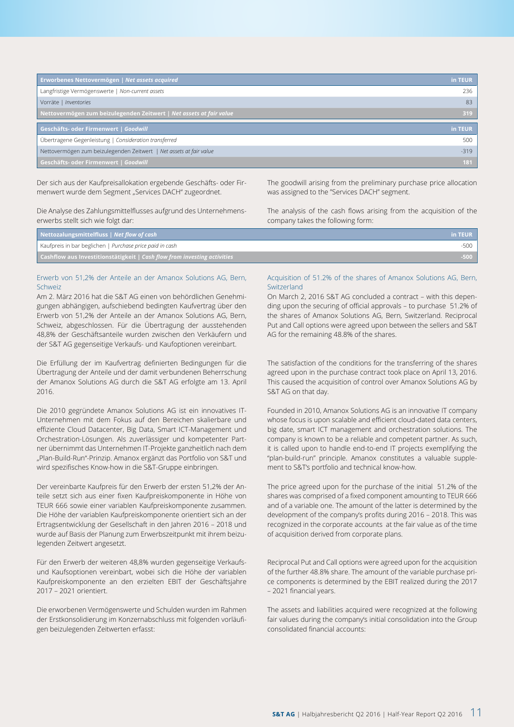| Erworbenes Nettovermögen   Net assets acquired                      | in TEUR |
|---------------------------------------------------------------------|---------|
| Langfristige Vermögenswerte   Non-current assets                    | 236     |
| Vorräte   Inventories                                               | 83      |
| Nettovermögen zum beizulegenden Zeitwert   Net assets at fair value | 319     |
| Geschäfts- oder Firmenwert   Goodwill                               | in TEUR |
| Übertragene Gegenleistung   Consideration transferred               | 500     |
| Nettovermögen zum beizulegenden Zeitwert   Net assets at fair value | $-319$  |
| Geschäfts- oder Firmenwert   Goodwill                               | 181     |

Der sich aus der Kaufpreisallokation ergebende Geschäfts- oder Firmenwert wurde dem Segment "Services DACH" zugeordnet.

Die Analyse des Zahlungsmittelflusses aufgrund des Unternehmenserwerbs stellt sich wie folgt dar:

The goodwill arising from the preliminary purchase price allocation was assigned to the "Services DACH" segment.

The analysis of the cash flows arising from the acquisition of the company takes the following form:

| Nettozalungsmittelfluss $\vert$ Net flow of cash                         | in TEUR |
|--------------------------------------------------------------------------|---------|
| Kaufpreis in bar beglichen   Purchase price paid in cash                 |         |
| Cashflow aus Investitionstätigkeit   Cash flow from investing activities | $-500$  |

#### Erwerb von 51,2% der Anteile an der Amanox Solutions AG, Bern, Schweiz

Am 2. März 2016 hat die S&T AG einen von behördlichen Genehmigungen abhängigen, aufschiebend bedingten Kaufvertrag über den Erwerb von 51,2% der Anteile an der Amanox Solutions AG, Bern, Schweiz, abgeschlossen. Für die Übertragung der ausstehenden 48,8% der Geschäftsanteile wurden zwischen den Verkäufern und der S&T AG gegenseitige Verkaufs- und Kaufoptionen vereinbart.

Die Erfüllung der im Kaufvertrag definierten Bedingungen für die Übertragung der Anteile und der damit verbundenen Beherrschung der Amanox Solutions AG durch die S&T AG erfolgte am 13. April 2016.

Die 2010 gegründete Amanox Solutions AG ist ein innovatives IT-Unternehmen mit dem Fokus auf den Bereichen skalierbare und effiziente Cloud Datacenter, Big Data, Smart ICT-Management und Orchestration-Lösungen. Als zuverlässiger und kompetenter Partner übernimmt das Unternehmen IT-Projekte ganzheitlich nach dem "Plan-Build-Run"-Prinzip. Amanox ergänzt das Portfolio von S&T und wird spezifisches Know-how in die S&T-Gruppe einbringen.

Der vereinbarte Kaufpreis für den Erwerb der ersten 51,2% der Anteile setzt sich aus einer fixen Kaufpreiskomponente in Höhe von TEUR 666 sowie einer variablen Kaufpreiskomponente zusammen. Die Höhe der variablen Kaufpreiskomponente orientiert sich an der Ertragsentwicklung der Gesellschaft in den Jahren 2016 – 2018 und wurde auf Basis der Planung zum Erwerbszeitpunkt mit ihrem beizulegenden Zeitwert angesetzt.

Für den Erwerb der weiteren 48,8% wurden gegenseitige Verkaufsund Kaufsoptionen vereinbart, wobei sich die Höhe der variablen Kaufpreiskomponente an den erzielten EBIT der Geschäftsjahre 2017 – 2021 orientiert.

Die erworbenen Vermögenswerte und Schulden wurden im Rahmen der Erstkonsolidierung im Konzernabschluss mit folgenden vorläufigen beizulegenden Zeitwerten erfasst:

#### Acquisition of 51.2% of the shares of Amanox Solutions AG, Bern, Switzerland

On March 2, 2016 S&T AG concluded a contract – with this depending upon the securing of official approvals – to purchase 51.2% of the shares of Amanox Solutions AG, Bern, Switzerland. Reciprocal Put and Call options were agreed upon between the sellers and S&T AG for the remaining 48.8% of the shares.

The satisfaction of the conditions for the transferring of the shares agreed upon in the purchase contract took place on April 13, 2016. This caused the acquisition of control over Amanox Solutions AG by S&T AG on that day.

Founded in 2010, Amanox Solutions AG is an innovative IT company whose focus is upon scalable and efficient cloud-dated data centers, big date, smart ICT management and orchestration solutions. The company is known to be a reliable and competent partner. As such, it is called upon to handle end-to-end IT projects exemplifying the "plan-build-run" principle. Amanox constitutes a valuable supplement to S&T's portfolio and technical know-how.

The price agreed upon for the purchase of the initial 51.2% of the shares was comprised of a fixed component amounting to TEUR 666 and of a variable one. The amount of the latter is determined by the development of the company's profits during 2016 – 2018. This was recognized in the corporate accounts at the fair value as of the time of acquisition derived from corporate plans.

Reciprocal Put and Call options were agreed upon for the acquisition of the further 48.8% share. The amount of the variable purchase price components is determined by the EBIT realized during the 2017 – 2021 financial years.

The assets and liabilities acquired were recognized at the following fair values during the company's initial consolidation into the Group consolidated financial accounts: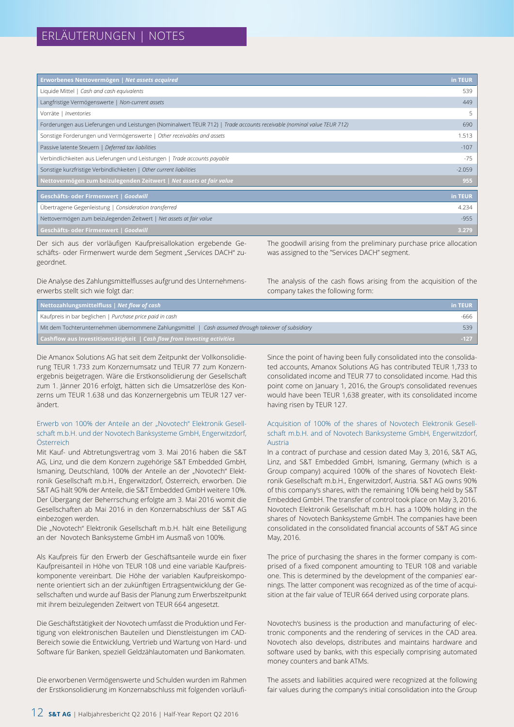| Erworbenes Nettovermögen   Net assets acquired                                                                         | in TEUR. |
|------------------------------------------------------------------------------------------------------------------------|----------|
| Liquide Mittel   Cash and cash equivalents                                                                             | 539      |
| Langfristige Vermögenswerte   Non-current assets                                                                       | 449      |
| Vorräte   Inventories                                                                                                  | 5        |
| Forderungen aus Lieferungen und Leistungen (Nominalwert TEUR 712)   Trade accounts receivable (nominal value TEUR 712) | 690      |
| Sonstige Forderungen und Vermögenswerte   Other receivables and assets                                                 | 1.513    |
| Passive latente Steuern   Deferred tax liabilities                                                                     | $-107$   |
| Verbindlichkeiten aus Lieferungen und Leistungen   Trade accounts payable                                              | -75      |
| Sonstige kurzfristige Verbindlichkeiten   Other current liabilities                                                    | $-2.059$ |
| Nettovermögen zum beizulegenden Zeitwert   Net assets at fair value                                                    | 955      |
| Geschäfts- oder Firmenwert   Goodwill                                                                                  | in TEUR  |
|                                                                                                                        |          |
| Übertragene Gegenleistung   Consideration transferred                                                                  | 4.234    |
| Nettovermögen zum beizulegenden Zeitwert   Net assets at fair value                                                    | $-955$   |
| Geschäfts- oder Firmenwert   Goodwill                                                                                  | 3.279    |

Der sich aus der vorläufigen Kaufpreisallokation ergebende Geschäfts- oder Firmenwert wurde dem Segment "Services DACH" zugeordnet.

The goodwill arising from the preliminary purchase price allocation was assigned to the "Services DACH" segment.

Die Analyse des Zahlungsmittelflusses aufgrund des Unternehmenserwerbs stellt sich wie folgt dar:

The analysis of the cash flows arising from the acquisition of the company takes the following form:

| Nettozahlungsmittelfluss   Net flow of cash                                                         | in TEUR |
|-----------------------------------------------------------------------------------------------------|---------|
| Kaufpreis in bar beglichen   Purchase price paid in cash                                            | -666    |
| Mit dem Tochterunternehmen übernommene Zahlungsmittel   Cash assumed through takeover of subsidiary | 539     |
| <b>Cashflow aus Investitionstätigkeit</b>   Cash flow from investing activities                     | $-127$  |

Die Amanox Solutions AG hat seit dem Zeitpunkt der Vollkonsolidierung TEUR 1.733 zum Konzernumsatz und TEUR 77 zum Konzernergebnis beigetragen. Wäre die Erstkonsolidierung der Gesellschaft zum 1. Jänner 2016 erfolgt, hätten sich die Umsatzerlöse des Konzerns um TEUR 1.638 und das Konzernergebnis um TEUR 127 verändert.

#### Erwerb von 100% der Anteile an der "Novotech" Elektronik Gesellschaft m.b.H. und der Novotech Banksysteme GmbH, Engerwitzdorf, Österreich

Mit Kauf- und Abtretungsvertrag vom 3. Mai 2016 haben die S&T AG, Linz, und die dem Konzern zugehörige S&T Embedded GmbH, Ismaning, Deutschland, 100% der Anteile an der "Novotech" Elektronik Gesellschaft m.b.H., Engerwitzdorf, Österreich, erworben. Die S&T AG hält 90% der Anteile, die S&T Embedded GmbH weitere 10%. Der Übergang der Beherrschung erfolgte am 3. Mai 2016 womit die Gesellschaften ab Mai 2016 in den Konzernabschluss der S&T AG einbezogen werden.

Die "Novotech" Elektronik Gesellschaft m.b.H. hält eine Beteiligung an der Novotech Banksysteme GmbH im Ausmaß von 100%.

Als Kaufpreis für den Erwerb der Geschäftsanteile wurde ein fixer Kaufpreisanteil in Höhe von TEUR 108 und eine variable Kaufpreiskomponente vereinbart. Die Höhe der variablen Kaufpreiskomponente orientiert sich an der zukünftigen Ertragsentwicklung der Gesellschaften und wurde auf Basis der Planung zum Erwerbszeitpunkt mit ihrem beizulegenden Zeitwert von TEUR 664 angesetzt.

Die Geschäftstätigkeit der Novotech umfasst die Produktion und Fertigung von elektronischen Bauteilen und Dienstleistungen im CAD-Bereich sowie die Entwicklung, Vertrieb und Wartung von Hard- und Software für Banken, speziell Geldzählautomaten und Bankomaten.

Die erworbenen Vermögenswerte und Schulden wurden im Rahmen der Erstkonsolidierung im Konzernabschluss mit folgenden vorläufiSince the point of having been fully consolidated into the consolidated accounts, Amanox Solutions AG has contributed TEUR 1,733 to consolidated income and TEUR 77 to consolidated income. Had this point come on January 1, 2016, the Group's consolidated revenues would have been TEUR 1,638 greater, with its consolidated income having risen by TEUR 127.

#### Acquisition of 100% of the shares of Novotech Elektronik Gesellschaft m.b.H. and of Novotech Banksysteme GmbH, Engerwitzdorf, Austria

In a contract of purchase and cession dated May 3, 2016, S&T AG, Linz, and S&T Embedded GmbH, Ismaning, Germany (which is a Group company) acquired 100% of the shares of Novotech Elektronik Gesellschaft m.b.H., Engerwitzdorf, Austria. S&T AG owns 90% of this company's shares, with the remaining 10% being held by S&T Embedded GmbH. The transfer of control took place on May 3, 2016. Novotech Elektronik Gesellschaft m.b.H. has a 100% holding in the shares of Novotech Banksysteme GmbH. The companies have been consolidated in the consolidated financial accounts of S&T AG since May, 2016.

The price of purchasing the shares in the former company is comprised of a fixed component amounting to TEUR 108 and variable one. This is determined by the development of the companies' earnings. The latter component was recognized as of the time of acquisition at the fair value of TEUR 664 derived using corporate plans.

Novotech's business is the production and manufacturing of electronic components and the rendering of services in the CAD area. Novotech also develops, distributes and maintains hardware and software used by banks, with this especially comprising automated money counters and bank ATMs.

The assets and liabilities acquired were recognized at the following fair values during the company's initial consolidation into the Group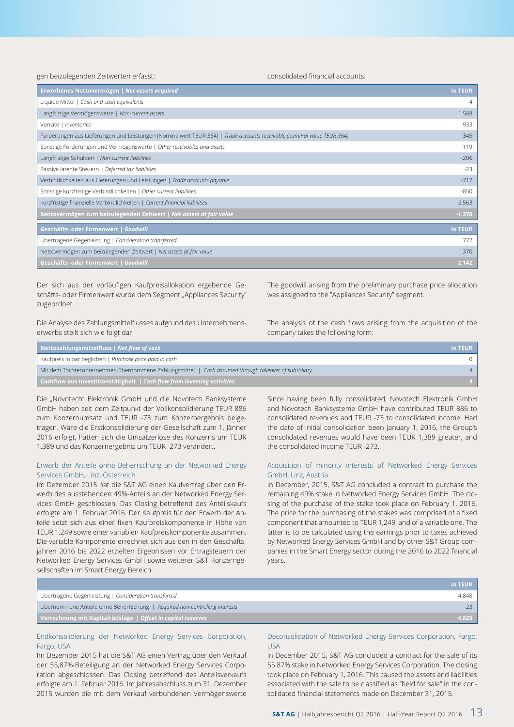gen beizulegenden Zeitwerten erfasst:

consolidated financial accounts:

| Erworbenes Nettovermögen   Net assets acquired                                                                         | in TEUR  |
|------------------------------------------------------------------------------------------------------------------------|----------|
| Liquide Mittel   Cash and cash equivalents                                                                             | 4        |
| Langfristige Vermögenswerte   Non-current assets                                                                       | 1.588    |
| Vorräte   Inventories                                                                                                  | 933      |
| Forderungen aus Lieferungen und Leistungen (Nominalwert TEUR 364)   Trade accounts receivable (nominal value TEUR 364) | 345      |
| Sonstige Forderungen und Vermögenswerte   Other receivables and assets                                                 | 119      |
| Langfristige Schulden   Non-current liabilities                                                                        | $-206$   |
| Passive latente Steuern   Deferred tax liabilities                                                                     | $-23$    |
| Verbindlichkeiten aus Lieferungen und Leistungen   Trade accounts payable                                              | $-717$   |
| Sonstige kurzfristige Verbindlichkeiten   Other current liabilities                                                    | $-850$   |
| kurzfristige finanzielle Verbindlichkeiten   Current financial liabilities                                             | $-2.563$ |
| Nettovermögen zum beizulegenden Zeitwert   Net assets at fair value                                                    | $-1.370$ |
| Geschäfts- oder Firmenwert   Goodwill                                                                                  | in TEUR  |
| Übertragene Gegenleistung   Consideration transferred                                                                  | 772      |
| Nettovermögen zum beizulegenden Zeitwert   Net assets at fair value                                                    | 1.370    |
| Geschäfts- oder Firmenwert   Goodwill                                                                                  | 2.142    |

Der sich aus der vorläufigen Kaufpreisallokation ergebende Geschäfts- oder Firmenwert wurde dem Segment "Appliances Security" zugeordnet.

Die Analyse des Zahlungsmittelflusses aufgrund des Unternehmenserwerbs stellt sich wie folgt dar:

The goodwill arising from the preliminary purchase price allocation was assigned to the "Appliances Security" segment.

The analysis of the cash flows arising from the acquisition of the company takes the following form:

| Nettozahlungsmittelfluss   Net flow of cash                                                         | in TEUR |
|-----------------------------------------------------------------------------------------------------|---------|
| Kaufpreis in bar beglichen   Purchase price paid in cash                                            |         |
| Mit dem Tochterunternehmen übernommene Zahlungsmittel   Cash assumed through takeover of subsidiary |         |
| <b>Cashflow aus Investitionstätigkeit</b> $\overline{ }$ <i>Cash flow from investing activities</i> |         |

Die "Novotech" Elektronik GmbH und die Novotech Banksysteme GmbH haben seit dem Zeitpunkt der Vollkonsolidierung TEUR 886 zum Konzernumsatz und TEUR -73 zum Konzernergebnis beigetragen. Wäre die Erstkonsolidierung der Gesellschaft zum 1. Jänner 2016 erfolgt, hätten sich die Umsatzerlöse des Konzerns um TEUR 1.389 und das Konzernergebnis um TEUR -273 verändert.

#### Erwerb der Anteile ohne Beherrschung an der Networked Energy Services GmbH, Linz, Österreich

Im Dezember 2015 hat die S&T AG einen Kaufvertrag über den Erwerb des ausstehenden 49%-Anteils an der Networked Energy Services GmbH geschlossen. Das Closing betreffend des Anteilskaufs erfolgte am 1. Februar 2016. Der Kaufpreis für den Erwerb der Anteile setzt sich aus einer fixen Kaufpreiskomponente in Höhe von TEUR 1.249 sowie einer variablen Kaufpreiskomponente zusammen. Die variable Komponente errechnet sich aus den in den Geschäftsjahren 2016 bis 2022 erzielten Ergebnissen vor Ertragsteuern der Networked Energy Services GmbH sowie weiterer S&T Konzerngesellschaften im Smart Energy Bereich.

Since having been fully consolidated, Novotech Elektronik GmbH and Novotech Banksysteme GmbH have contributed TEUR 886 to consolidated revenues and TEUR -73 to consolidated income. Had the date of initial consolidation been January 1, 2016, the Group's consolidated revenues would have been TEUR 1,389 greater, and the consolidated income TEUR -273.

#### Acquisition of minority interests of Networked Energy Services GmbH, Linz, Austria

In December, 2015, S&T AG concluded a contract to purchase the remaining 49% stake in Networked Energy Services GmbH. The closing of the purchase of the stake took place on February 1, 2016. The price for the purchasing of the stakes was comprised of a fixed component that amounted to TEUR 1,249, and of a variable one. The latter is to be calculated using the earnings prior to taxes achieved by Networked Energy Services GmbH and by other S&T Group companies in the Smart Energy sector during the 2016 to 2022 financial years.

|                                                                            | in TEUR |
|----------------------------------------------------------------------------|---------|
| Übertragene Gegenleistung   Consideration transferred                      | 4.848   |
| Übernommene Anteile ohne Beherrschung   Acquired non-controlling interests | $-23$   |
| Verrechnung mit Kapitalrücklage   Offset in capital reserves               | 4.825   |

#### Endkonsolidierung der Networked Energy Services Corporation, Fargo, USA

Im Dezember 2015 hat die S&T AG einen Vertrag über den Verkauf der 55,87%-Beteiligung an der Networked Energy Services Corporation abgeschlossen. Das Closing betreffend des Anteilsverkaufs erfolgte am 1. Februar 2016. Im Jahresabschluss zum 31. Dezember 2015 wurden die mit dem Verkauf verbundenen Vermögenswerte

#### Deconsolidation of Networked Energy Services Corporation, Fargo, USA

In December 2015, S&T AG concluded a contract for the sale of its 55.87% stake in Networked Energy Services Corporation. The closing took place on February 1, 2016. This caused the assets and liabilities associated with the sale to be classified as "held for sale" in the consolidated financial statements made on December 31, 2015.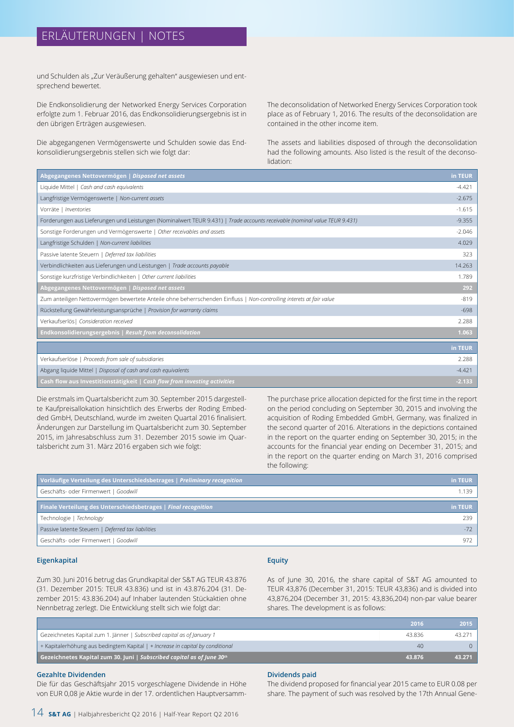# ERLÄUTERUNGEN | NOTES

und Schulden als "Zur Veräußerung gehalten" ausgewiesen und entsprechend bewertet.

Die Endkonsolidierung der Networked Energy Services Corporation erfolgte zum 1. Februar 2016, das Endkonsolidierungsergebnis ist in den übrigen Erträgen ausgewiesen.

Die abgegangenen Vermögenswerte und Schulden sowie das Endkonsolidierungsergebnis stellen sich wie folgt dar:

The deconsolidation of Networked Energy Services Corporation took place as of February 1, 2016. The results of the deconsolidation are contained in the other income item.

The assets and liabilities disposed of through the deconsolidation had the following amounts. Also listed is the result of the deconsolidation:

| Abgegangenes Nettovermögen   Disposed net assets                                                                           | in TEUR  |
|----------------------------------------------------------------------------------------------------------------------------|----------|
| Liquide Mittel   Cash and cash equivalents                                                                                 | $-4.421$ |
| Langfristige Vermögenswerte   Non-current assets                                                                           | $-2.675$ |
| Vorräte   Inventories                                                                                                      | $-1.615$ |
| Forderungen aus Lieferungen und Leistungen (Nominalwert TEUR 9.431)   Trade accounts receivable (nominal value TEUR 9.431) | $-9.355$ |
| Sonstige Forderungen und Vermögenswerte   Other receivables and assets                                                     | $-2.046$ |
| Langfristige Schulden   Non-current liabilities                                                                            | 4.029    |
| Passive latente Steuern   Deferred tax liabilities                                                                         | 323      |
| Verbindlichkeiten aus Lieferungen und Leistungen   Trade accounts payable                                                  | 14.263   |
| Sonstige kurzfristige Verbindlichkeiten   Other current liabilities                                                        | 1.789    |
| Abgegangenes Nettovermögen   Disposed net assets                                                                           | 292      |
| Zum anteiligen Nettovermögen bewertete Anteile ohne beherrschenden Einfluss   Non-controlling interets at fair value       | $-819$   |
| Rückstellung Gewährleistungsansprüche   Provision for warranty claims                                                      | $-698$   |
| Verkaufserlös   Consideration received                                                                                     | 2.288    |
| Endkonsolidierungsergebnis   Result from deconsolidation                                                                   | 1.063    |
|                                                                                                                            | in TEUR  |
| Verkaufserlöse   Proceeds from sale of subsidiaries                                                                        | 2.288    |
| Abgang liquide Mittel   Disposal of cash and cash equivalents                                                              | $-4.421$ |
| Cash flow aus Investitionstätigkeit   Cash flow from investing activities                                                  | $-2.133$ |
|                                                                                                                            |          |

Die erstmals im Quartalsbericht zum 30. September 2015 dargestellte Kaufpreisallokation hinsichtlich des Erwerbs der Roding Embedded GmbH, Deutschland, wurde im zweiten Quartal 2016 finalisiert. Änderungen zur Darstellung im Quartalsbericht zum 30. September 2015, im Jahresabschluss zum 31. Dezember 2015 sowie im Quartalsbericht zum 31. März 2016 ergaben sich wie folgt:

The purchase price allocation depicted for the first time in the report on the period concluding on September 30, 2015 and involving the acquisition of Roding Embedded GmbH, Germany, was finalized in the second quarter of 2016. Alterations in the depictions contained in the report on the quarter ending on September 30, 2015; in the accounts for the financial year ending on December 31, 2015; and in the report on the quarter ending on March 31, 2016 comprised the following:

| Vorläufige Verteilung des Unterschiedsbetrages   Preliminary recognition | in TEUR |
|--------------------------------------------------------------------------|---------|
| Geschäfts- oder Firmenwert   Goodwill                                    | 1.139   |
| Finale Verteilung des Unterschiedsbetrages   Final recognition           | in TEUR |
| Technologie   Technology                                                 | 239     |
| Passive latente Steuern   Deferred tax liabilities                       | $-72$   |
| Geschäfts- oder Firmenwert   Goodwill                                    | 972     |

#### **Eigenkapital**

#### **Equity**

Zum 30. Juni 2016 betrug das Grundkapital der S&T AG TEUR 43.876 (31. Dezember 2015: TEUR 43.836) und ist in 43.876.204 (31. Dezember 2015: 43.836.204) auf Inhaber lautenden Stückaktien ohne Nennbetrag zerlegt. Die Entwicklung stellt sich wie folgt dar:

As of June 30, 2016, the share capital of S&T AG amounted to TEUR 43,876 (December 31, 2015: TEUR 43,836) and is divided into 43,876,204 (December 31, 2015: 43,836,204) non-par value bearer shares. The development is as follows:

|                                                                                | 2016   | 2015   |
|--------------------------------------------------------------------------------|--------|--------|
| Gezeichnetes Kapital zum 1. Jänner   Subscribed capital as of January 1        | 43.836 | 43.271 |
| + Kapitalerhöhung aus bedingtem Kapital   + Increase in capital by conditional |        |        |
| Gezeichnetes Kapital zum 30. Juni   Subscribed capital as of June 30th         | 43.876 | 43.271 |
|                                                                                |        |        |

#### **Gezahlte Dividenden**

Die für das Geschäftsjahr 2015 vorgeschlagene Dividende in Höhe von EUR 0,08 je Aktie wurde in der 17. ordentlichen Hauptversamm-

#### **Dividends paid**

The dividend proposed for financial year 2015 came to EUR 0.08 per share. The payment of such was resolved by the 17th Annual Gene-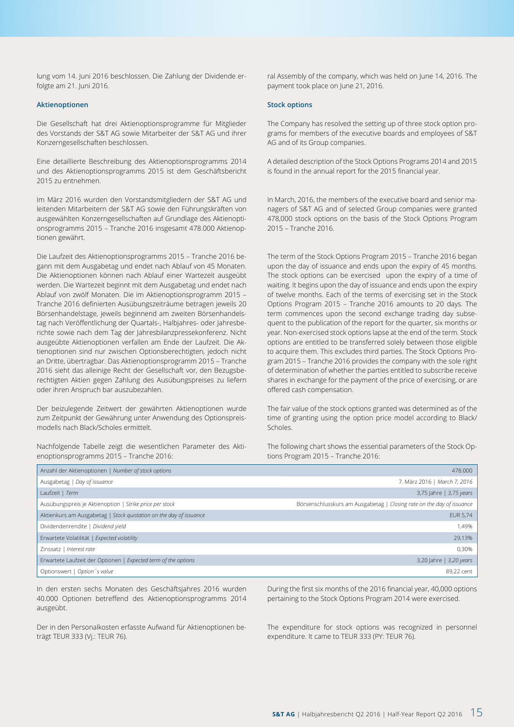lung vom 14. Juni 2016 beschlossen. Die Zahlung der Dividende erfolgte am 21. Juni 2016.

#### **Aktienoptionen**

Die Gesellschaft hat drei Aktienoptionsprogramme für Mitglieder des Vorstands der S&T AG sowie Mitarbeiter der S&T AG und ihrer Konzerngesellschaften beschlossen.

Eine detaillierte Beschreibung des Aktienoptionsprogramms 2014 und des Aktienoptionsprogramms 2015 ist dem Geschäftsbericht 2015 zu entnehmen.

Im März 2016 wurden den Vorstandsmitgliedern der S&T AG und leitenden Mitarbeitern der S&T AG sowie den Führungskräften von ausgewählten Konzerngesellschaften auf Grundlage des Aktienoptionsprogramms 2015 – Tranche 2016 insgesamt 478.000 Aktienoptionen gewährt.

Die Laufzeit des Aktienoptionsprogramms 2015 – Tranche 2016 begann mit dem Ausgabetag und endet nach Ablauf von 45 Monaten. Die Aktienoptionen können nach Ablauf einer Wartezeit ausgeübt werden. Die Wartezeit beginnt mit dem Ausgabetag und endet nach Ablauf von zwölf Monaten. Die im Aktienoptionsprogramm 2015 – Tranche 2016 definierten Ausübungszeiträume betragen jeweils 20 Börsenhandelstage, jeweils beginnend am zweiten Börsenhandelstag nach Veröffentlichung der Quartals-, Halbjahres- oder Jahresberichte sowie nach dem Tag der Jahresbilanzpressekonferenz. Nicht ausgeübte Aktienoptionen verfallen am Ende der Laufzeit. Die Aktienoptionen sind nur zwischen Optionsberechtigten, jedoch nicht an Dritte, übertragbar. Das Aktienoptionsprogramm 2015 – Tranche 2016 sieht das alleinige Recht der Gesellschaft vor, den Bezugsberechtigten Aktien gegen Zahlung des Ausübungspreises zu liefern oder ihren Anspruch bar auszubezahlen.

Der beizulegende Zeitwert der gewährten Aktienoptionen wurde zum Zeitpunkt der Gewährung unter Anwendung des Optionspreismodells nach Black/Scholes ermittelt.

Nachfolgende Tabelle zeigt die wesentlichen Parameter des Aktienoptionsprogramms 2015 – Tranche 2016:

ral Assembly of the company, which was held on June 14, 2016. The payment took place on June 21, 2016.

#### **Stock options**

The Company has resolved the setting up of three stock option programs for members of the executive boards and employees of S&T AG and of its Group companies.

A detailed description of the Stock Options Programs 2014 and 2015 is found in the annual report for the 2015 financial year.

In March, 2016, the members of the executive board and senior managers of S&T AG and of selected Group companies were granted 478,000 stock options on the basis of the Stock Options Program 2015 – Tranche 2016.

The term of the Stock Options Program 2015 – Tranche 2016 began upon the day of issuance and ends upon the expiry of 45 months. The stock options can be exercised upon the expiry of a time of waiting. It begins upon the day of issuance and ends upon the expiry of twelve months. Each of the terms of exercising set in the Stock Options Program 2015 – Tranche 2016 amounts to 20 days. The term commences upon the second exchange trading day subsequent to the publication of the report for the quarter, six months or year. Non-exercised stock options lapse at the end of the term. Stock options are entitled to be transferred solely between those eligible to acquire them. This excludes third parties. The Stock Options Program 2015 – Tranche 2016 provides the company with the sole right of determination of whether the parties entitled to subscribe receive shares in exchange for the payment of the price of exercising, or are offered cash compensation.

The fair value of the stock options granted was determined as of the time of granting using the option price model according to Black/ Scholes.

The following chart shows the essential parameters of the Stock Options Program 2015 – Tranche 2016:

| Anzahl der Aktienoptionen   Number of stock options               | 478,000                                                               |
|-------------------------------------------------------------------|-----------------------------------------------------------------------|
| Ausgabetag   Day of issuance                                      | 7. März 2016   March 7, 2016                                          |
| Laufzeit   Term                                                   | 3,75 Jahre   3,75 years                                               |
| Ausübungspreis je Aktienoption   Strike price per stock           | Börsenschlusskurs am Ausgabetag   Closing rate on the day of issuance |
| Aktienkurs am Ausgabetag   Stock quotation on the day of issuance | <b>EUR 5,74</b>                                                       |
| Dividendenrendite   Dividend yield                                | 1.49%                                                                 |
| Erwartete Volatilität   Expected volatility                       | 29.13%                                                                |
| Zinssatz   Interest rate                                          | 0.30%                                                                 |
| Erwartete Laufzeit der Optionen   Expected term of the options    | 3,20 Jahre   3,20 years                                               |
| Optionswert   Option 's value                                     | 89.22 cent                                                            |

In den ersten sechs Monaten des Geschäftsjahres 2016 wurden 40.000 Optionen betreffend des Aktienoptionsprogramms 2014 ausgeübt.

Der in den Personalkosten erfasste Aufwand für Aktienoptionen beträgt TEUR 333 (Vj.: TEUR 76).

During the first six months of the 2016 financial year, 40,000 options pertaining to the Stock Options Program 2014 were exercised.

The expenditure for stock options was recognized in personnel expenditure. It came to TEUR 333 (PY: TEUR 76).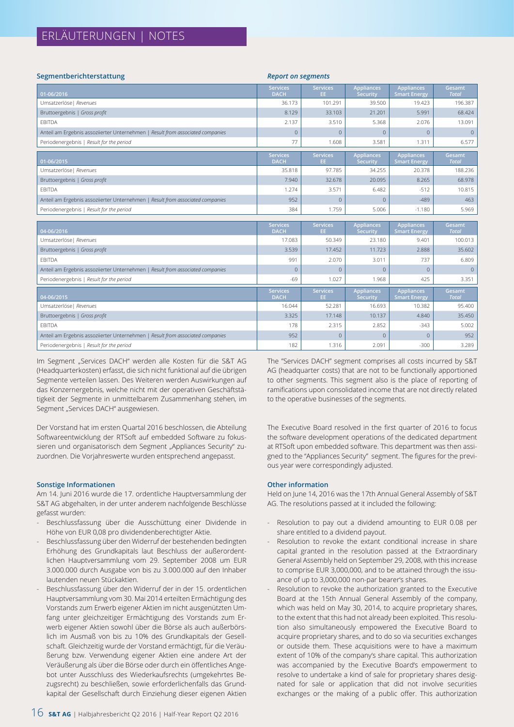# ERLÄUTERUNGEN | NOTES

| Segmentberichterstattung                                                       | <b>Report on segments</b>      |                        |                                      |                                          |                        |
|--------------------------------------------------------------------------------|--------------------------------|------------------------|--------------------------------------|------------------------------------------|------------------------|
| 01-06/2016                                                                     | <b>Services</b><br><b>DACH</b> | <b>Services</b><br>EE. | <b>Appliances</b><br>Security        | <b>Appliances</b><br><b>Smart Energy</b> | Gesamt<br><b>Total</b> |
| Umsatzerlöse   Revenues                                                        | 36.173                         | 101.291                | 39.500                               | 19.423                                   | 196.387                |
| Bruttoergebnis   Gross profit                                                  | 8.129                          | 33.103                 | 21.201                               | 5.991                                    | 68.424                 |
| <b>EBITDA</b>                                                                  | 2.137                          | 3.510                  | 5.368                                | 2.076                                    | 13.091                 |
| Anteil am Ergebnis assoziierter Unternehmen   Result from associated companies | $\mathbf{0}$                   | $\mathbf{0}$           | $\mathbf{0}$                         | $\overline{0}$                           | $\mathbf{0}$           |
| Periodenergebnis   Result for the period                                       | 77                             | 1.608                  | 3.581                                | 1.311                                    | 6.577                  |
| 01-06/2015                                                                     | <b>Services</b><br><b>DACH</b> | <b>Services</b><br>EE. | <b>Appliances</b><br>Security        | <b>Appliances</b><br><b>Smart Energy</b> | Gesamt<br><b>Total</b> |
| Umsatzerlöse   Revenues                                                        | 35.818                         | 97.785                 | 34.255                               | 20.378                                   | 188.236                |
| Bruttoergebnis   Gross profit                                                  | 7.940                          | 32.678                 | 20.095                               | 8.265                                    | 68.978                 |
| <b>EBITDA</b>                                                                  | 1.274                          | 3.571                  | 6.482                                | $-512$                                   | 10.815                 |
| Anteil am Ergebnis assoziierter Unternehmen   Result from associated companies | 952                            | $\mathbf{0}$           | $\mathbf{0}$                         | $-489$                                   | 463                    |
| Periodenergebnis   Result for the period                                       | 384                            | 1.759                  | 5.006                                | $-1.180$                                 | 5.969                  |
|                                                                                |                                |                        |                                      |                                          |                        |
| 04-06/2016                                                                     | <b>Services</b><br><b>DACH</b> | <b>Services</b><br>EE. | <b>Appliances</b><br>Security        | <b>Appliances</b><br><b>Smart Energy</b> | Gesamt<br><b>Total</b> |
| Umsatzerlöse   Revenues                                                        | 17.083                         | 50.349                 | 23.180                               | 9.401                                    | 100.013                |
| Bruttoergebnis   Gross profit                                                  | 3.539                          | 17.452                 | 11.723                               | 2.888                                    | 35.602                 |
| <b>EBITDA</b>                                                                  | 991                            | 2.070                  | 3.011                                | 737                                      | 6.809                  |
| Anteil am Ergebnis assoziierter Unternehmen   Result from associated companies | $\mathbf{0}$                   | $\mathbf{0}$           | $\Omega$                             | $\mathbf{0}$                             | $\Omega$               |
| Periodenergebnis   Result for the period                                       | $-69$                          | 1.027                  | 1.968                                | 425                                      | 3.351                  |
| 04-06/2015                                                                     | <b>Services</b><br><b>DACH</b> | <b>Services</b><br>EE. | <b>Appliances</b><br><b>Security</b> | <b>Appliances</b><br><b>Smart Energy</b> | Gesamt<br><b>Total</b> |
| Umsatzerlöse   Revenues                                                        | 16.044                         | 52.281                 | 16.693                               | 10.382                                   | 95.400                 |
| Bruttoergebnis   Gross profit                                                  | 3.325                          | 17.148                 | 10.137                               | 4.840                                    | 35.450                 |
| <b>EBITDA</b>                                                                  | 178                            | 2.315                  | 2.852                                | $-343$                                   | 5.002                  |
| Anteil am Ergebnis assoziierter Unternehmen   Result from associated companies | 952                            | $\overline{0}$         | $\mathbf{0}$                         | $\overline{0}$                           | 952                    |
| Periodenergebnis   Result for the period                                       | 182                            | 1.316                  | 2.091                                | $-300$                                   | 3.289                  |

Im Segment "Services DACH" werden alle Kosten für die S&T AG (Headquarterkosten) erfasst, die sich nicht funktional auf die übrigen Segmente verteilen lassen. Des Weiteren werden Auswirkungen auf das Konzernergebnis, welche nicht mit der operativen Geschäftstätigkeit der Segmente in unmittelbarem Zusammenhang stehen, im Segment "Services DACH" ausgewiesen.

Der Vorstand hat im ersten Quartal 2016 beschlossen, die Abteilung Softwareentwicklung der RTSoft auf embedded Software zu fokussieren und organisatorisch dem Segment "Appliances Security" zuzuordnen. Die Vorjahreswerte wurden entsprechend angepasst.

#### **Sonstige Informationen**

Am 14. Juni 2016 wurde die 17. ordentliche Hauptversammlung der S&T AG abgehalten, in der unter anderem nachfolgende Beschlüsse gefasst wurden:

- Beschlussfassung über die Ausschüttung einer Dividende in Höhe von EUR 0,08 pro dividendenberechtigter Aktie.
- Beschlussfassung über den Widerruf der bestehenden bedingten Erhöhung des Grundkapitals laut Beschluss der außerordentlichen Hauptversammlung vom 29. September 2008 um EUR 3.000.000 durch Ausgabe von bis zu 3.000.000 auf den Inhaber lautenden neuen Stückaktien.
- Beschlussfassung über den Widerruf der in der 15. ordentlichen Hauptversammlung vom 30. Mai 2014 erteilten Ermächtigung des Vorstands zum Erwerb eigener Aktien im nicht ausgenützten Umfang unter gleichzeitiger Ermächtigung des Vorstands zum Erwerb eigener Aktien sowohl über die Börse als auch außerbörslich im Ausmaß von bis zu 10% des Grundkapitals der Gesellschaft. Gleichzeitig wurde der Vorstand ermächtigt, für die Veräußerung bzw. Verwendung eigener Aktien eine andere Art der Veräußerung als über die Börse oder durch ein öffentliches Angebot unter Ausschluss des Wiederkaufsrechts (umgekehrtes Bezugsrecht) zu beschließen, sowie erforderlichenfalls das Grundkapital der Gesellschaft durch Einziehung dieser eigenen Aktien

The "Services DACH" segment comprises all costs incurred by S&T AG (headquarter costs) that are not to be functionally apportioned to other segments. This segment also is the place of reporting of ramifications upon consolidated income that are not directly related to the operative businesses of the segments.

The Executive Board resolved in the first quarter of 2016 to focus the software development operations of the dedicated department at RTSoft upon embedded software. This department was then assigned to the "Appliances Security" segment. The figures for the previous year were correspondingly adjusted.

#### **Other information**

Held on June 14, 2016 was the 17th Annual General Assembly of S&T AG. The resolutions passed at it included the following:

- Resolution to pay out a dividend amounting to EUR 0.08 per share entitled to a dividend payout.
- Resolution to revoke the extant conditional increase in share capital granted in the resolution passed at the Extraordinary General Assembly held on September 29, 2008, with this increase to comprise EUR 3,000,000, and to be attained through the issuance of up to 3,000,000 non-par bearer's shares.
- Resolution to revoke the authorization granted to the Executive Board at the 15th Annual General Assembly of the company, which was held on May 30, 2014, to acquire proprietary shares, to the extent that this had not already been exploited. This resolution also simultaneously empowered the Executive Board to acquire proprietary shares, and to do so via securities exchanges or outside them. These acquisitions were to have a maximum extent of 10% of the company's share capital. This authorization was accompanied by the Executive Board's empowerment to resolve to undertake a kind of sale for proprietary shares designated for sale or application that did not involve securities exchanges or the making of a public offer. This authorization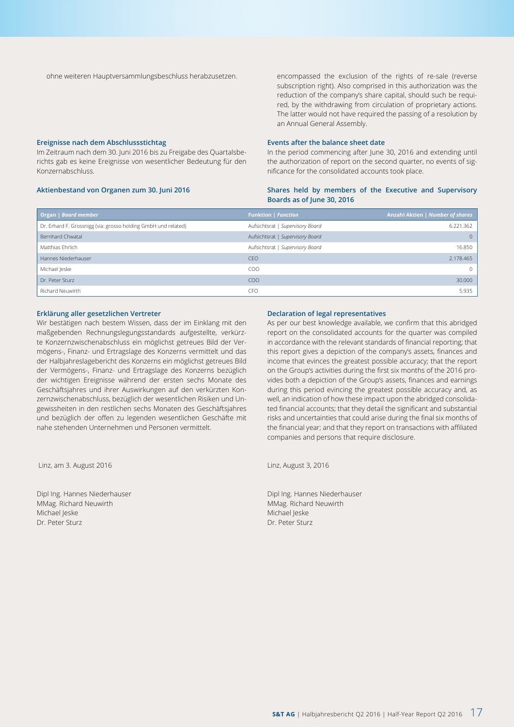ohne weiteren Hauptversammlungsbeschluss herabzusetzen.

encompassed the exclusion of the rights of re-sale (reverse subscription right). Also comprised in this authorization was the reduction of the company's share capital, should such be required, by the withdrawing from circulation of proprietary actions. The latter would not have required the passing of a resolution by an Annual General Assembly.

#### **Ereignisse nach dem Abschlussstichtag**

Im Zeitraum nach dem 30. Juni 2016 bis zu Freigabe des Quartalsberichts gab es keine Ereignisse von wesentlicher Bedeutung für den Konzernabschluss.

#### **Aktienbestand von Organen zum 30. Juni 2016**

#### **Events after the balance sheet date**

In the period commencing after June 30, 2016 and extending until the authorization of report on the second quarter, no events of significance for the consolidated accounts took place.

#### **Shares held by members of the Executive and Supervisory Boards as of June 30, 2016**

| Organ   Board member                                           | <b>Funktion   Function</b>       | Anzahl Aktien   Number of shares |
|----------------------------------------------------------------|----------------------------------|----------------------------------|
| Dr. Erhard F. Grossnigg (via: grosso holding GmbH und related) | Aufsichtsrat   Supervisory Board | 6.221.362                        |
| Bernhard Chwatal                                               | Aufsichtsrat   Supervisory Board | $\Omega$                         |
| Matthias Ehrlich                                               | Aufsichtsrat   Supervisory Board | 16.850                           |
| Hannes Niederhauser                                            | <b>CEO</b>                       | 2.178.465                        |
| Michael Jeske                                                  | COO                              | $\Omega$                         |
| Dr. Peter Sturz                                                | COO                              | 30,000                           |
| Richard Neuwirth                                               | CFO                              | 5.935                            |

#### **Erklärung aller gesetzlichen Vertreter**

Wir bestätigen nach bestem Wissen, dass der im Einklang mit den maßgebenden Rechnungslegungsstandards aufgestellte, verkürzte Konzernzwischenabschluss ein möglichst getreues Bild der Vermögens-, Finanz- und Ertragslage des Konzerns vermittelt und das der Halbjahreslagebericht des Konzerns ein möglichst getreues Bild der Vermögens-, Finanz- und Ertragslage des Konzerns bezüglich der wichtigen Ereignisse während der ersten sechs Monate des Geschäftsjahres und ihrer Auswirkungen auf den verkürzten Konzernzwischenabschluss, bezüglich der wesentlichen Risiken und Ungewissheiten in den restlichen sechs Monaten des Geschäftsjahres und bezüglich der offen zu legenden wesentlichen Geschäfte mit nahe stehenden Unternehmen und Personen vermittelt.

Linz, am 3. August 2016

Dipl Ing. Hannes Niederhauser MMag. Richard Neuwirth Michael Jeske Dr. Peter Sturz

#### **Declaration of legal representatives**

As per our best knowledge available, we confirm that this abridged report on the consolidated accounts for the quarter was compiled in accordance with the relevant standards of financial reporting; that this report gives a depiction of the company's assets, finances and income that evinces the greatest possible accuracy; that the report on the Group's activities during the first six months of the 2016 provides both a depiction of the Group's assets, finances and earnings during this period evincing the greatest possible accuracy and, as well, an indication of how these impact upon the abridged consolidated financial accounts; that they detail the significant and substantial risks and uncertainties that could arise during the final six months of the financial year; and that they report on transactions with affiliated companies and persons that require disclosure.

Linz, August 3, 2016

Dipl Ing. Hannes Niederhauser MMag. Richard Neuwirth Michael Jeske Dr. Peter Sturz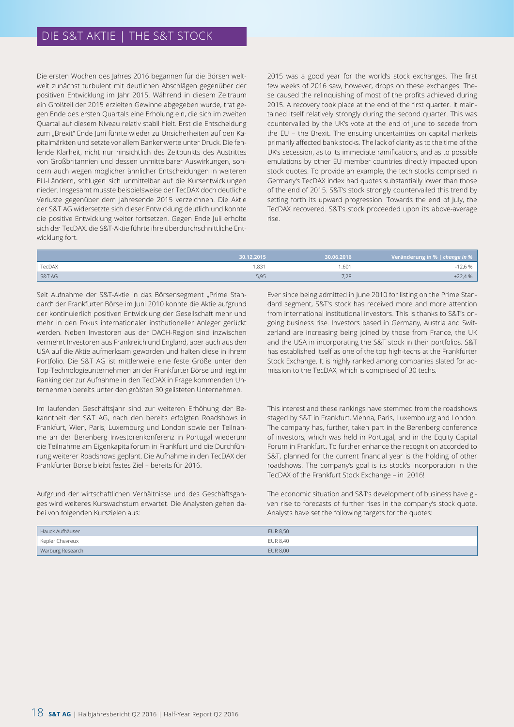# DIE S&T AKTIE | THE S&T STOCK

Die ersten Wochen des Jahres 2016 begannen für die Börsen weltweit zunächst turbulent mit deutlichen Abschlägen gegenüber der positiven Entwicklung im Jahr 2015. Während in diesem Zeitraum ein Großteil der 2015 erzielten Gewinne abgegeben wurde, trat gegen Ende des ersten Quartals eine Erholung ein, die sich im zweiten Quartal auf diesem Niveau relativ stabil hielt. Erst die Entscheidung zum "Brexit" Ende Juni führte wieder zu Unsicherheiten auf den Kapitalmärkten und setzte vor allem Bankenwerte unter Druck. Die fehlende Klarheit, nicht nur hinsichtlich des Zeitpunkts des Austrittes von Großbritannien und dessen unmittelbarer Auswirkungen, sondern auch wegen möglicher ähnlicher Entscheidungen in weiteren EU-Ländern, schlugen sich unmittelbar auf die Kursentwicklungen nieder. Insgesamt musste beispielsweise der TecDAX doch deutliche Verluste gegenüber dem Jahresende 2015 verzeichnen. Die Aktie der S&T AG widersetzte sich dieser Entwicklung deutlich und konnte die positive Entwicklung weiter fortsetzen. Gegen Ende Juli erholte sich der TecDAX, die S&T-Aktie führte ihre überdurchschnittliche Entwicklung fort.

2015 was a good year for the world's stock exchanges. The first few weeks of 2016 saw, however, drops on these exchanges. These caused the relinquishing of most of the profits achieved during 2015. A recovery took place at the end of the first quarter. It maintained itself relatively strongly during the second quarter. This was countervailed by the UK's vote at the end of June to secede from the EU – the Brexit. The ensuing uncertainties on capital markets primarily affected bank stocks. The lack of clarity as to the time of the UK's secession, as to its immediate ramifications, and as to possible emulations by other EU member countries directly impacted upon stock quotes. To provide an example, the tech stocks comprised in Germany's TecDAX index had quotes substantially lower than those of the end of 2015. S&T's stock strongly countervailed this trend by setting forth its upward progression. Towards the end of July, the TecDAX recovered. S&T's stock proceeded upon its above-average rise.

|        | 30.12.2015 | 30.06.2016 | Veränderung in %   change in % |
|--------|------------|------------|--------------------------------|
| TecDAX | .831       | .601       | 12,6 %                         |
| S&T AG | 5,95       | 7,28       | $+22,4%$                       |

Seit Aufnahme der S&T-Aktie in das Börsensegment "Prime Standard" der Frankfurter Börse im Juni 2010 konnte die Aktie aufgrund der kontinuierlich positiven Entwicklung der Gesellschaft mehr und mehr in den Fokus internationaler institutioneller Anleger gerückt werden. Neben Investoren aus der DACH-Region sind inzwischen vermehrt Investoren aus Frankreich und England, aber auch aus den USA auf die Aktie aufmerksam geworden und halten diese in ihrem Portfolio. Die S&T AG ist mittlerweile eine feste Größe unter den Top-Technologieunternehmen an der Frankfurter Börse und liegt im Ranking der zur Aufnahme in den TecDAX in Frage kommenden Unternehmen bereits unter den größten 30 gelisteten Unternehmen.

Im laufenden Geschäftsjahr sind zur weiteren Erhöhung der Bekanntheit der S&T AG, nach den bereits erfolgten Roadshows in Frankfurt, Wien, Paris, Luxemburg und London sowie der Teilnahme an der Berenberg Investorenkonferenz in Portugal wiederum die Teilnahme am Eigenkapitalforum in Frankfurt und die Durchführung weiterer Roadshows geplant. Die Aufnahme in den TecDAX der Frankfurter Börse bleibt festes Ziel – bereits für 2016.

Aufgrund der wirtschaftlichen Verhältnisse und des Geschäftsganges wird weiteres Kurswachstum erwartet. Die Analysten gehen dabei von folgenden Kurszielen aus:

Ever since being admitted in June 2010 for listing on the Prime Standard segment, S&T's stock has received more and more attention from international institutional investors. This is thanks to S&T's ongoing business rise. Investors based in Germany, Austria and Switzerland are increasing being joined by those from France, the UK and the USA in incorporating the S&T stock in their portfolios. S&T has established itself as one of the top high-techs at the Frankfurter Stock Exchange. It is highly ranked among companies slated for admission to the TecDAX, which is comprised of 30 techs.

This interest and these rankings have stemmed from the roadshows staged by S&T in Frankfurt, Vienna, Paris, Luxembourg and London. The company has, further, taken part in the Berenberg conference of investors, which was held in Portugal, and in the Equity Capital Forum in Frankfurt. To further enhance the recognition accorded to S&T, planned for the current financial year is the holding of other roadshows. The company's goal is its stock's incorporation in the TecDAX of the Frankfurt Stock Exchange – in 2016!

The economic situation and S&T's development of business have given rise to forecasts of further rises in the company's stock quote. Analysts have set the following targets for the quotes:

| Hauck Aufhäuser  | <b>EUR 8,50</b> |  |
|------------------|-----------------|--|
| Kepler Chevreux  | EUR 8,40        |  |
| Warburg Research | <b>EUR 8,00</b> |  |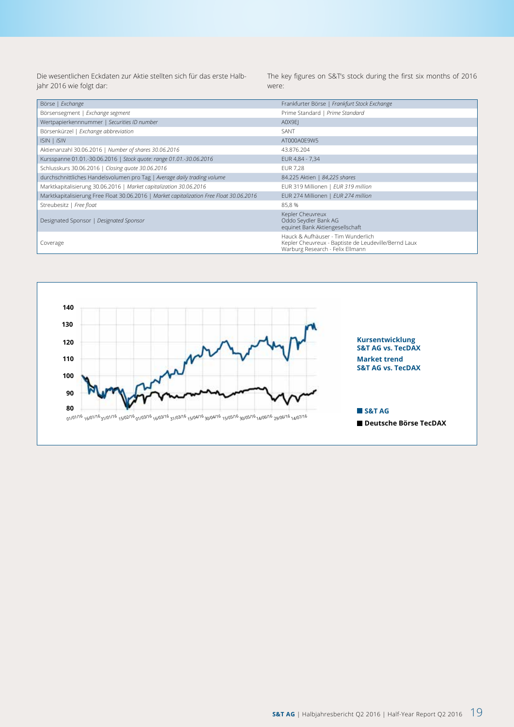Die wesentlichen Eckdaten zur Aktie stellten sich für das erste Halbjahr 2016 wie folgt dar:

The key figures on S&T's stock during the first six months of 2016 were:

| Börse   Exchange                                                                         | Frankfurter Börse   Frankfurt Stock Exchange                                                                                   |
|------------------------------------------------------------------------------------------|--------------------------------------------------------------------------------------------------------------------------------|
| Börsensegment   Exchange segment                                                         | Prime Standard   Prime Standard                                                                                                |
| Wertpapierkennnummer   Securities ID number                                              | A0X9EI                                                                                                                         |
| Börsenkürzel   Exchange abbreviation                                                     | SANT                                                                                                                           |
| ISIN   ISIN                                                                              | AT000A0E9W5                                                                                                                    |
| Aktienanzahl 30.06.2016   Number of shares 30.06.2016                                    | 43.876.204                                                                                                                     |
| Kursspanne 01.01.-30.06.2016   Stock quote: range 01.01.-30.06.2016                      | EUR 4,84 - 7,34                                                                                                                |
| Schlusskurs 30.06.2016   Closing quote 30.06.2016                                        | <b>EUR 7,28</b>                                                                                                                |
| durchschnittliches Handelsvolumen pro Tag   Average daily trading volume                 | 84.225 Aktien   84,225 shares                                                                                                  |
| Marktkapitalisierung 30.06.2016   Market capitalization 30.06.2016                       | EUR 319 Millionen   EUR 319 million                                                                                            |
| Marktkapitalisierung Free Float 30.06.2016   Market capitalization Free Float 30.06.2016 | EUR 274 Millionen   EUR 274 million                                                                                            |
| Streubesitz   Free float                                                                 | 85,8%                                                                                                                          |
| Designated Sponsor   Designated Sponsor                                                  | Kepler Cheuvreux<br>Oddo Seydler Bank AG<br>equinet Bank Aktiengesellschaft                                                    |
| Coverage                                                                                 | Hauck & Aufhäuser - Tim Wunderlich<br>Kepler Cheuvreux - Baptiste de Leudeville/Bernd Laux<br>Warburg Research - Felix Ellmann |